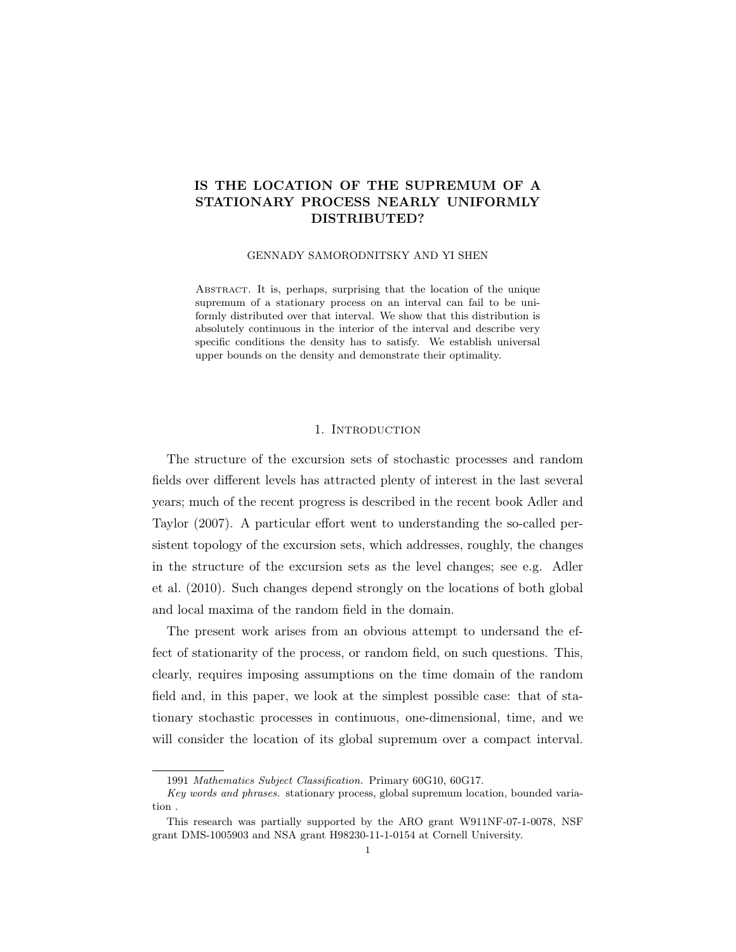### IS THE LOCATION OF THE SUPREMUM OF A STATIONARY PROCESS NEARLY UNIFORMLY DISTRIBUTED?

#### GENNADY SAMORODNITSKY AND YI SHEN

Abstract. It is, perhaps, surprising that the location of the unique supremum of a stationary process on an interval can fail to be uniformly distributed over that interval. We show that this distribution is absolutely continuous in the interior of the interval and describe very specific conditions the density has to satisfy. We establish universal upper bounds on the density and demonstrate their optimality.

### 1. INTRODUCTION

The structure of the excursion sets of stochastic processes and random fields over different levels has attracted plenty of interest in the last several years; much of the recent progress is described in the recent book Adler and Taylor (2007). A particular effort went to understanding the so-called persistent topology of the excursion sets, which addresses, roughly, the changes in the structure of the excursion sets as the level changes; see e.g. Adler et al. (2010). Such changes depend strongly on the locations of both global and local maxima of the random field in the domain.

The present work arises from an obvious attempt to undersand the effect of stationarity of the process, or random field, on such questions. This, clearly, requires imposing assumptions on the time domain of the random field and, in this paper, we look at the simplest possible case: that of stationary stochastic processes in continuous, one-dimensional, time, and we will consider the location of its global supremum over a compact interval.

<sup>1991</sup> Mathematics Subject Classification. Primary 60G10, 60G17.

Key words and phrases. stationary process, global supremum location, bounded variation .

This research was partially supported by the ARO grant W911NF-07-1-0078, NSF grant DMS-1005903 and NSA grant H98230-11-1-0154 at Cornell University.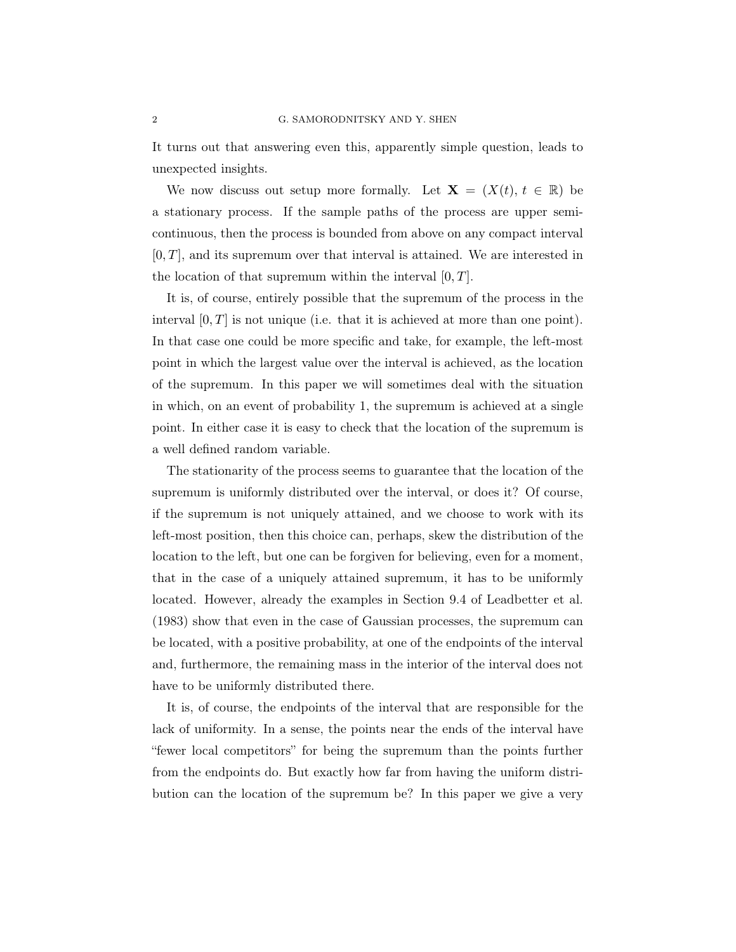It turns out that answering even this, apparently simple question, leads to unexpected insights.

We now discuss out setup more formally. Let  $X = (X(t), t \in \mathbb{R})$  be a stationary process. If the sample paths of the process are upper semicontinuous, then the process is bounded from above on any compact interval  $[0, T]$ , and its supremum over that interval is attained. We are interested in the location of that supremum within the interval  $[0, T]$ .

It is, of course, entirely possible that the supremum of the process in the interval  $[0, T]$  is not unique (i.e. that it is achieved at more than one point). In that case one could be more specific and take, for example, the left-most point in which the largest value over the interval is achieved, as the location of the supremum. In this paper we will sometimes deal with the situation in which, on an event of probability 1, the supremum is achieved at a single point. In either case it is easy to check that the location of the supremum is a well defined random variable.

The stationarity of the process seems to guarantee that the location of the supremum is uniformly distributed over the interval, or does it? Of course, if the supremum is not uniquely attained, and we choose to work with its left-most position, then this choice can, perhaps, skew the distribution of the location to the left, but one can be forgiven for believing, even for a moment, that in the case of a uniquely attained supremum, it has to be uniformly located. However, already the examples in Section 9.4 of Leadbetter et al. (1983) show that even in the case of Gaussian processes, the supremum can be located, with a positive probability, at one of the endpoints of the interval and, furthermore, the remaining mass in the interior of the interval does not have to be uniformly distributed there.

It is, of course, the endpoints of the interval that are responsible for the lack of uniformity. In a sense, the points near the ends of the interval have "fewer local competitors" for being the supremum than the points further from the endpoints do. But exactly how far from having the uniform distribution can the location of the supremum be? In this paper we give a very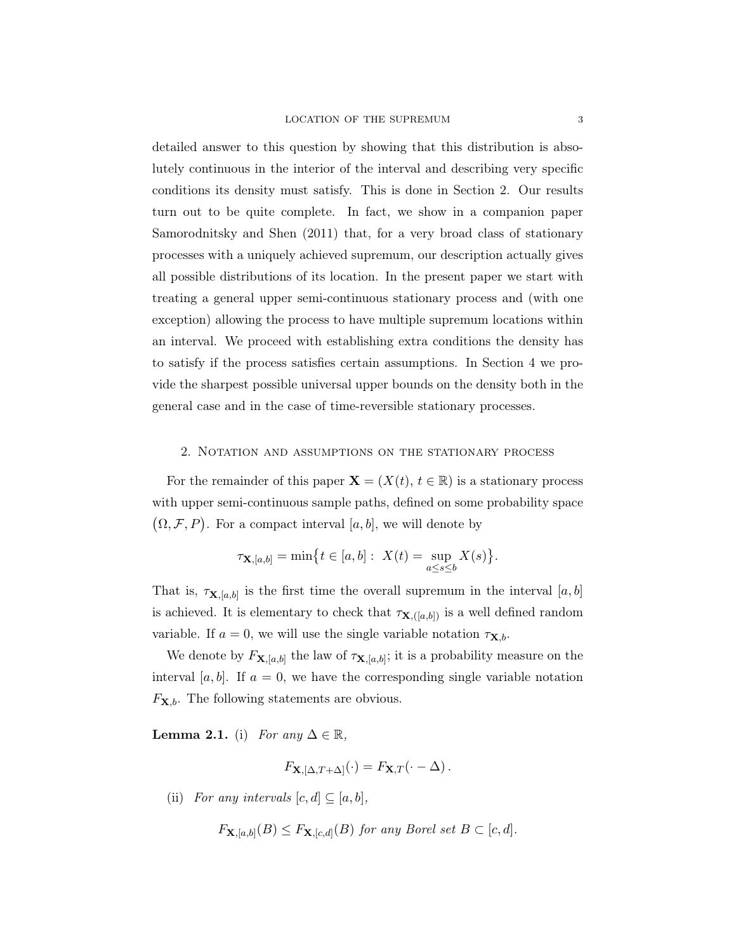### LOCATION OF THE SUPREMUM 3

detailed answer to this question by showing that this distribution is absolutely continuous in the interior of the interval and describing very specific conditions its density must satisfy. This is done in Section 2. Our results turn out to be quite complete. In fact, we show in a companion paper Samorodnitsky and Shen (2011) that, for a very broad class of stationary processes with a uniquely achieved supremum, our description actually gives all possible distributions of its location. In the present paper we start with treating a general upper semi-continuous stationary process and (with one exception) allowing the process to have multiple supremum locations within an interval. We proceed with establishing extra conditions the density has to satisfy if the process satisfies certain assumptions. In Section 4 we provide the sharpest possible universal upper bounds on the density both in the general case and in the case of time-reversible stationary processes.

### 2. Notation and assumptions on the stationary process

For the remainder of this paper  $\mathbf{X} = (X(t), t \in \mathbb{R})$  is a stationary process with upper semi-continuous sample paths, defined on some probability space  $(\Omega, \mathcal{F}, P)$ . For a compact interval [a, b], we will denote by

$$
\tau_{\mathbf{X},[a,b]} = \min \bigl\{ t \in [a,b]: \ X(t) = \sup_{a \le s \le b} X(s) \bigr\}.
$$

That is,  $\tau_{\mathbf{X},[a,b]}$  is the first time the overall supremum in the interval  $[a,b]$ is achieved. It is elementary to check that  $\tau_{\mathbf{X},([a,b])}$  is a well defined random variable. If  $a = 0$ , we will use the single variable notation  $\tau_{\mathbf{X},b}$ .

We denote by  $F_{\mathbf{X},[a,b]}$  the law of  $\tau_{\mathbf{X},[a,b]}$ ; it is a probability measure on the interval [a, b]. If  $a = 0$ , we have the corresponding single variable notation  $F_{\mathbf{X},b}$ . The following statements are obvious.

**Lemma 2.1.** (i) For any  $\Delta \in \mathbb{R}$ ,

$$
F_{\mathbf{X},[\Delta,T+\Delta]}(\cdot) = F_{\mathbf{X},T}(\cdot - \Delta).
$$

(ii) For any intervals  $[c, d] \subseteq [a, b],$ 

 $F_{\mathbf{X},[a,b]}(B) \leq F_{\mathbf{X},[c,d]}(B)$  for any Borel set  $B \subset [c,d]$ .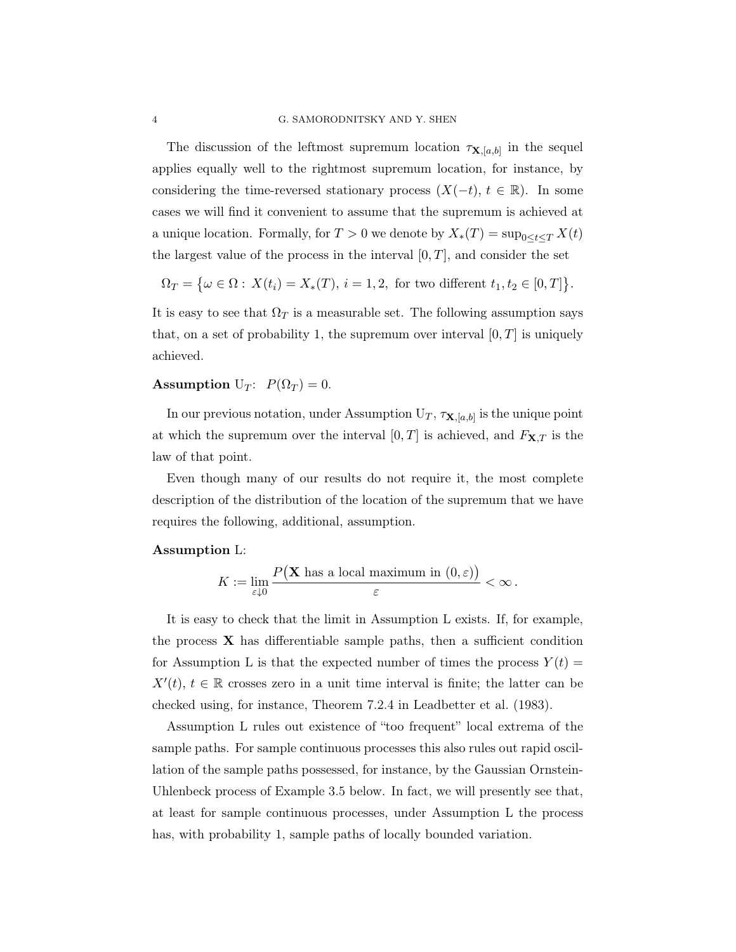The discussion of the leftmost supremum location  $\tau_{\mathbf{X},[a,b]}$  in the sequel applies equally well to the rightmost supremum location, for instance, by considering the time-reversed stationary process  $(X(-t), t \in \mathbb{R})$ . In some cases we will find it convenient to assume that the supremum is achieved at a unique location. Formally, for  $T > 0$  we denote by  $X_*(T) = \sup_{0 \le t \le T} X(t)$ the largest value of the process in the interval  $[0, T]$ , and consider the set

$$
\Omega_T = \{ \omega \in \Omega : X(t_i) = X_*(T), i = 1, 2, \text{ for two different } t_1, t_2 \in [0, T] \}.
$$

It is easy to see that  $\Omega_T$  is a measurable set. The following assumption says that, on a set of probability 1, the supremum over interval  $[0, T]$  is uniquely achieved.

# Assumption U<sub>T</sub>:  $P(\Omega_T) = 0$ .

In our previous notation, under Assumption  $U_T$ ,  $\tau_{\mathbf{X},[a,b]}$  is the unique point at which the supremum over the interval  $[0, T]$  is achieved, and  $F_{\mathbf{X}, T}$  is the law of that point.

Even though many of our results do not require it, the most complete description of the distribution of the location of the supremum that we have requires the following, additional, assumption.

### Assumption L:

$$
K := \lim_{\varepsilon \downarrow 0} \frac{P(\mathbf{X} \text{ has a local maximum in } (0, \varepsilon))}{\varepsilon} < \infty.
$$

It is easy to check that the limit in Assumption L exists. If, for example, the process  $\bf{X}$  has differentiable sample paths, then a sufficient condition for Assumption L is that the expected number of times the process  $Y(t)$  =  $X'(t), t \in \mathbb{R}$  crosses zero in a unit time interval is finite; the latter can be checked using, for instance, Theorem 7.2.4 in Leadbetter et al. (1983).

Assumption L rules out existence of "too frequent" local extrema of the sample paths. For sample continuous processes this also rules out rapid oscillation of the sample paths possessed, for instance, by the Gaussian Ornstein-Uhlenbeck process of Example 3.5 below. In fact, we will presently see that, at least for sample continuous processes, under Assumption L the process has, with probability 1, sample paths of locally bounded variation.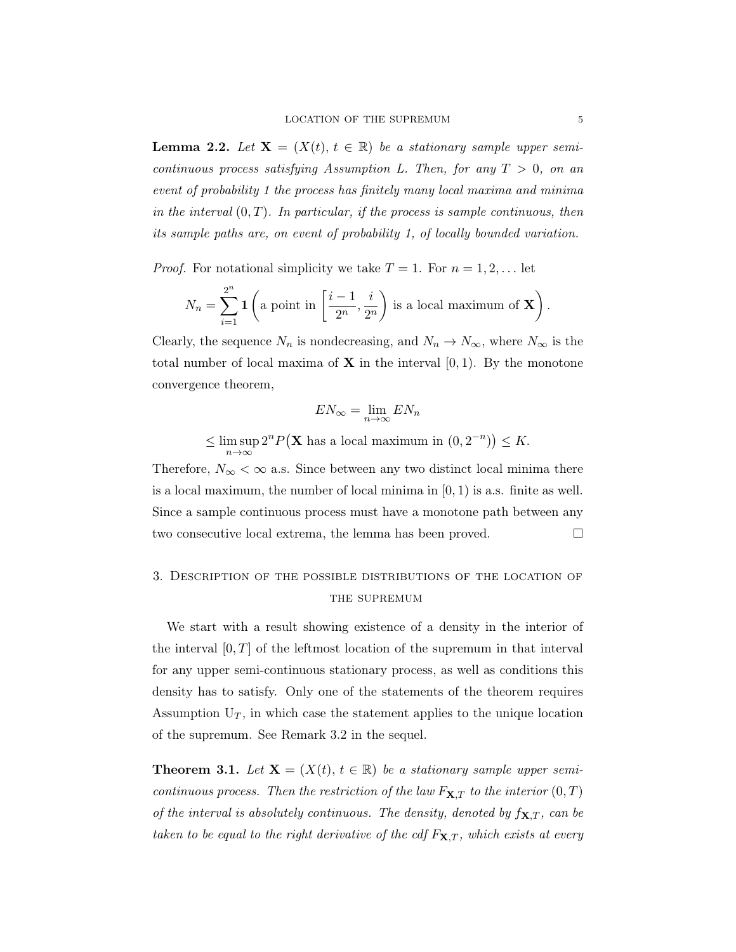**Lemma 2.2.** Let  $X = (X(t), t \in \mathbb{R})$  be a stationary sample upper semicontinuous process satisfying Assumption L. Then, for any  $T > 0$ , on an event of probability 1 the process has finitely many local maxima and minima in the interval  $(0, T)$ . In particular, if the process is sample continuous, then its sample paths are, on event of probability 1, of locally bounded variation.

*Proof.* For notational simplicity we take  $T = 1$ . For  $n = 1, 2, \ldots$  let

$$
N_n = \sum_{i=1}^{2^n} \mathbf{1} \left( \text{a point in } \left[ \frac{i-1}{2^n}, \frac{i}{2^n} \right) \text{ is a local maximum of } \mathbf{X} \right).
$$

Clearly, the sequence  $N_n$  is nondecreasing, and  $N_n \to N_\infty$ , where  $N_\infty$  is the total number of local maxima of  $X$  in the interval  $[0, 1)$ . By the monotone convergence theorem,

$$
EN_{\infty} = \lim_{n \to \infty} EN_n
$$
  

$$
\leq \limsup_{n \to \infty} 2^n P(\mathbf{X} \text{ has a local maximum in } (0, 2^{-n})) \leq K.
$$

Therefore,  $N_{\infty} < \infty$  a.s. Since between any two distinct local minima there is a local maximum, the number of local minima in  $[0, 1)$  is a.s. finite as well. Since a sample continuous process must have a monotone path between any two consecutive local extrema, the lemma has been proved.

## 3. Description of the possible distributions of the location of THE SUPREMUM

We start with a result showing existence of a density in the interior of the interval  $[0, T]$  of the leftmost location of the supremum in that interval for any upper semi-continuous stationary process, as well as conditions this density has to satisfy. Only one of the statements of the theorem requires Assumption  $U_T$ , in which case the statement applies to the unique location of the supremum. See Remark 3.2 in the sequel.

**Theorem 3.1.** Let  $X = (X(t), t \in \mathbb{R})$  be a stationary sample upper semicontinuous process. Then the restriction of the law  $F_{\mathbf{X},T}$  to the interior  $(0,T)$ of the interval is absolutely continuous. The density, denoted by  $f_{\mathbf{X},T}$ , can be taken to be equal to the right derivative of the cdf  $F_{\mathbf{X},T}$ , which exists at every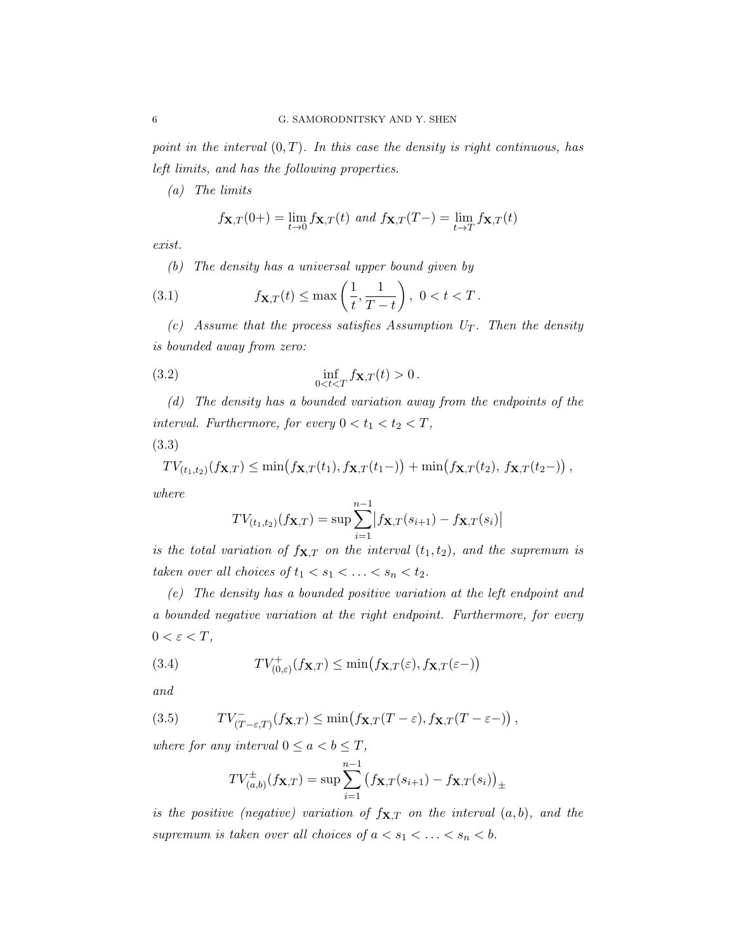point in the interval  $(0, T)$ . In this case the density is right continuous, has left limits, and has the following properties.

(a) The limits

$$
f_{\mathbf{X},T}(0+) = \lim_{t \to 0} f_{\mathbf{X},T}(t) \text{ and } f_{\mathbf{X},T}(T-) = \lim_{t \to T} f_{\mathbf{X},T}(t)
$$

exist.

(b) The density has a universal upper bound given by

(3.1) 
$$
f_{\mathbf{X},T}(t) \le \max\left(\frac{1}{t}, \frac{1}{T-t}\right), 0 < t < T.
$$

(c) Assume that the process satisfies Assumption  $U_T$ . Then the density is bounded away from zero:

(3.2) 
$$
\inf_{0 < t < T} f_{\mathbf{X}, T}(t) > 0.
$$

(d) The density has a bounded variation away from the endpoints of the interval. Furthermore, for every  $0 < t_1 < t_2 < T$ , (3.3)

$$
TV_{(t_1,t_2)}(f_{\mathbf{X},T}) \leq \min(f_{\mathbf{X},T}(t_1),f_{\mathbf{X},T}(t_1-)) + \min(f_{\mathbf{X},T}(t_2),f_{\mathbf{X},T}(t_2-)),
$$

where

$$
TV_{(t_1,t_2)}(f_{\mathbf{X},T}) = \sup \sum_{i=1}^{n-1} |f_{\mathbf{X},T}(s_{i+1}) - f_{\mathbf{X},T}(s_i)|
$$

is the total variation of  $f_{\mathbf{X},T}$  on the interval  $(t_1, t_2)$ , and the supremum is taken over all choices of  $t_1 < s_1 < \ldots < s_n < t_2$ .

(e) The density has a bounded positive variation at the left endpoint and a bounded negative variation at the right endpoint. Furthermore, for every  $0 < \varepsilon < T$ ,

(3.4) 
$$
TV_{(0,\varepsilon)}^+(f\mathbf{x},r) \leq \min(f\mathbf{x},r(\varepsilon),f\mathbf{x},r(\varepsilon-))
$$

and

(3.5) 
$$
TV_{(T-\varepsilon,T)}^-(f_{\mathbf{X},T}) \leq \min(f_{\mathbf{X},T}(T-\varepsilon),f_{\mathbf{X},T}(T-\varepsilon-)),
$$

where for any interval  $0 \le a < b \le T$ ,

$$
TV_{(a,b)}^{\pm}(f_{\mathbf{X},T}) = \sup \sum_{i=1}^{n-1} (f_{\mathbf{X},T}(s_{i+1}) - f_{\mathbf{X},T}(s_i))_{\pm}
$$

is the positive (negative) variation of  $f_{\mathbf{X},T}$  on the interval  $(a, b)$ , and the supremum is taken over all choices of  $a < s_1 < \ldots < s_n < b$ .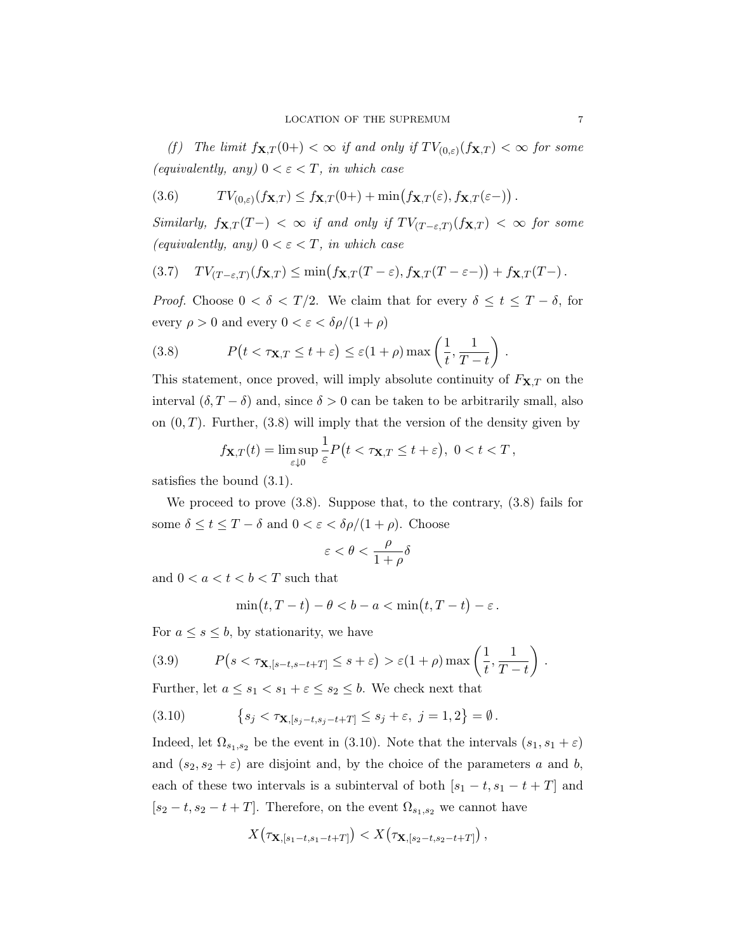(f) The limit  $f_{\mathbf{X},T}(0+) < \infty$  if and only if  $TV_{(0,\varepsilon)}(f_{\mathbf{X},T}) < \infty$  for some (equivalently, any)  $0 < \varepsilon < T$ , in which case

(3.6) 
$$
TV_{(0,\varepsilon)}(f_{\mathbf{X},T}) \leq f_{\mathbf{X},T}(0+) + \min(f_{\mathbf{X},T}(\varepsilon), f_{\mathbf{X},T}(\varepsilon-)) .
$$

Similarly,  $f_{\mathbf{X},T}(T-) < \infty$  if and only if  $TV_{(T-\varepsilon,T)}(f_{\mathbf{X},T}) < \infty$  for some (equivalently, any)  $0 < \varepsilon < T$ , in which case

(3.7) 
$$
TV_{(T-\varepsilon,T)}(f_{\mathbf{X},T}) \leq \min(f_{\mathbf{X},T}(T-\varepsilon),f_{\mathbf{X},T}(T-\varepsilon-)) + f_{\mathbf{X},T}(T-).
$$

*Proof.* Choose  $0 < \delta < T/2$ . We claim that for every  $\delta \leq t \leq T - \delta$ , for every  $\rho > 0$  and every  $0 < \varepsilon < \delta \rho/(1 + \rho)$ 

(3.8) 
$$
P(t < \tau_{\mathbf{X}, T} \le t + \varepsilon) \le \varepsilon (1 + \rho) \max\left(\frac{1}{t}, \frac{1}{T - t}\right).
$$

This statement, once proved, will imply absolute continuity of  $F_{\mathbf{X},T}$  on the interval  $(\delta, T - \delta)$  and, since  $\delta > 0$  can be taken to be arbitrarily small, also on  $(0, T)$ . Further,  $(3.8)$  will imply that the version of the density given by

$$
f_{\mathbf{X},T}(t) = \limsup_{\varepsilon \downarrow 0} \frac{1}{\varepsilon} P(t < \tau_{\mathbf{X},T} \le t + \varepsilon), \ 0 < t < T,
$$

satisfies the bound (3.1).

We proceed to prove (3.8). Suppose that, to the contrary, (3.8) fails for some  $\delta \leq t \leq T - \delta$  and  $0 < \varepsilon < \delta \rho/(1 + \rho)$ . Choose

$$
\varepsilon < \theta < \frac{\rho}{1+\rho} \delta
$$

and  $0 < a < t < b < T$  such that

$$
\min(t,T-t) - \theta < b - a < \min(t,T-t) - \varepsilon \, .
$$

For  $a \leq s \leq b$ , by stationarity, we have

(3.9) 
$$
P(s < \tau_{\mathbf{X},[s-t,s-t+T]} \leq s+\varepsilon) > \varepsilon(1+\rho)\max\left(\frac{1}{t},\frac{1}{T-t}\right).
$$

Further, let  $a \leq s_1 < s_1 + \varepsilon \leq s_2 \leq b$ . We check next that

(3.10) 
$$
\{s_j < \tau_{\mathbf{X},[s_j-t,s_j-t+T]} \leq s_j + \varepsilon, \ j = 1, 2\} = \emptyset.
$$

Indeed, let  $\Omega_{s_1,s_2}$  be the event in (3.10). Note that the intervals  $(s_1, s_1 + \varepsilon)$ and  $(s_2, s_2 + \varepsilon)$  are disjoint and, by the choice of the parameters a and b, each of these two intervals is a subinterval of both  $[s_1 - t, s_1 - t + T]$  and  $[s_2 - t, s_2 - t + T]$ . Therefore, on the event  $\Omega_{s_1, s_2}$  we cannot have

$$
X(\tau_{\mathbf{X},[s_1-t,s_1-t+T]}) < X(\tau_{\mathbf{X},[s_2-t,s_2-t+T]})
$$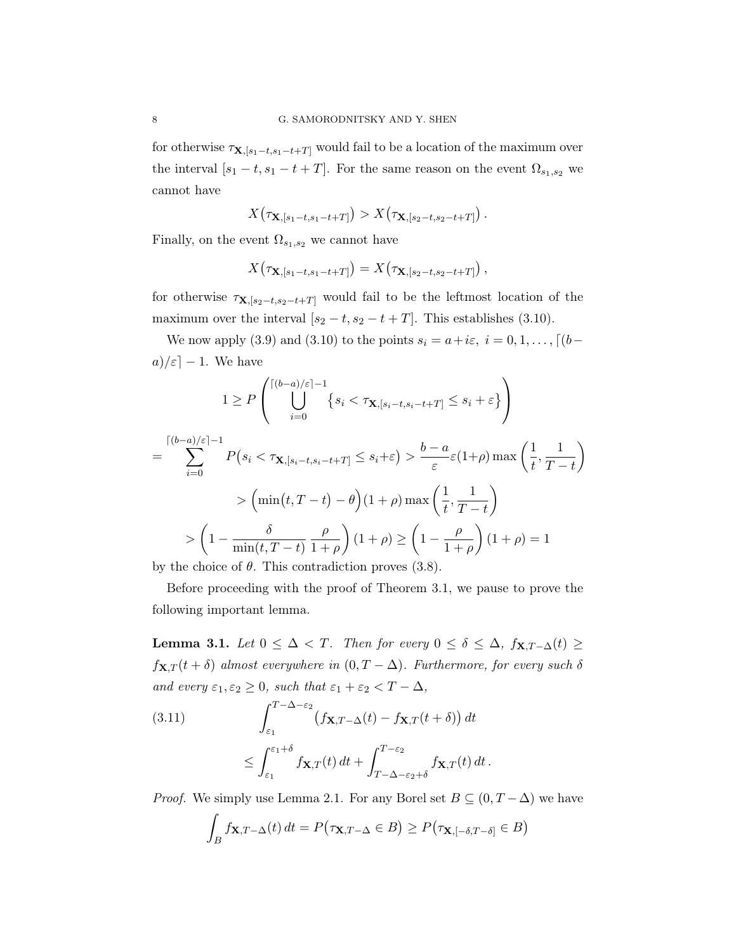for otherwise  $\tau_{\mathbf{X},[s_1-t,s_1-t+T]}$  would fail to be a location of the maximum over the interval  $[s_1 - t, s_1 - t + T]$ . For the same reason on the event  $\Omega_{s_1, s_2}$  we cannot have

$$
X\big(\tau_{\mathbf{X},[s_1-t,s_1-t+T]}\big)>X\big(\tau_{\mathbf{X},[s_2-t,s_2-t+T]}\big)\,.
$$

Finally, on the event  $\Omega_{s_1,s_2}$  we cannot have

$$
X(\tau_{\mathbf{X},[s_1-t,s_1-t+T]}) = X(\tau_{\mathbf{X},[s_2-t,s_2-t+T]})
$$

for otherwise  $\tau_{\mathbf{X},[s_2-t,s_2-t+T]}$  would fail to be the leftmost location of the maximum over the interval  $[s_2 - t, s_2 - t + T]$ . This establishes (3.10).

We now apply (3.9) and (3.10) to the points  $s_i = a + i\varepsilon, i = 0, 1, \ldots, \lceil (b$  $a)/\varepsilon$  – 1. We have

$$
1 \ge P\left(\bigcup_{i=0}^{\lceil (b-a)/\varepsilon \rceil - 1} \{s_i < \tau_{\mathbf{X},[s_i-t,s_i-t+T]} \le s_i + \varepsilon\}\right)
$$
\n
$$
= \sum_{i=0}^{\lceil (b-a)/\varepsilon \rceil - 1} P(s_i < \tau_{\mathbf{X},[s_i-t,s_i-t+T]} \le s_i + \varepsilon) > \frac{b-a}{\varepsilon} \varepsilon(1+\rho) \max\left(\frac{1}{t}, \frac{1}{T-t}\right)
$$
\n
$$
> \left(\min(t, T-t) - \theta\right)(1+\rho) \max\left(\frac{1}{t}, \frac{1}{T-t}\right)
$$
\n
$$
> \left(1 - \frac{\delta}{\min(t, T-t)} \frac{\rho}{1+\rho}\right)(1+\rho) \ge \left(1 - \frac{\rho}{1+\rho}\right)(1+\rho) = 1
$$
\nby the choice of  $\theta$ . This contradiction proves (2.8).

by the choice of  $\theta$ . This contradiction proves (3.8).

Before proceeding with the proof of Theorem 3.1, we pause to prove the following important lemma.

Lemma 3.1. Let  $0 \leq \Delta < T$ . Then for every  $0 \leq \delta \leq \Delta$ ,  $f_{\mathbf{X},T-\Delta}(t) \geq$  $f_{\mathbf{X},T}(t+\delta)$  almost everywhere in  $(0,T-\Delta)$ . Furthermore, for every such  $\delta$ and every  $\varepsilon_1, \varepsilon_2 \geq 0$ , such that  $\varepsilon_1 + \varepsilon_2 < T - \Delta$ ,

(3.11) 
$$
\int_{\varepsilon_1}^{T-\Delta-\varepsilon_2} (f_{\mathbf{X},T-\Delta}(t) - f_{\mathbf{X},T}(t+\delta)) dt
$$

$$
\leq \int_{\varepsilon_1}^{\varepsilon_1+\delta} f_{\mathbf{X},T}(t) dt + \int_{T-\Delta-\varepsilon_2+\delta}^{T-\varepsilon_2} f_{\mathbf{X},T}(t) dt.
$$

*Proof.* We simply use Lemma 2.1. For any Borel set  $B \subseteq (0, T - \Delta)$  we have

$$
\int_B f_{\mathbf{X},T-\Delta}(t) dt = P(\tau_{\mathbf{X},T-\Delta} \in B) \ge P(\tau_{\mathbf{X},[-\delta,T-\delta]} \in B)
$$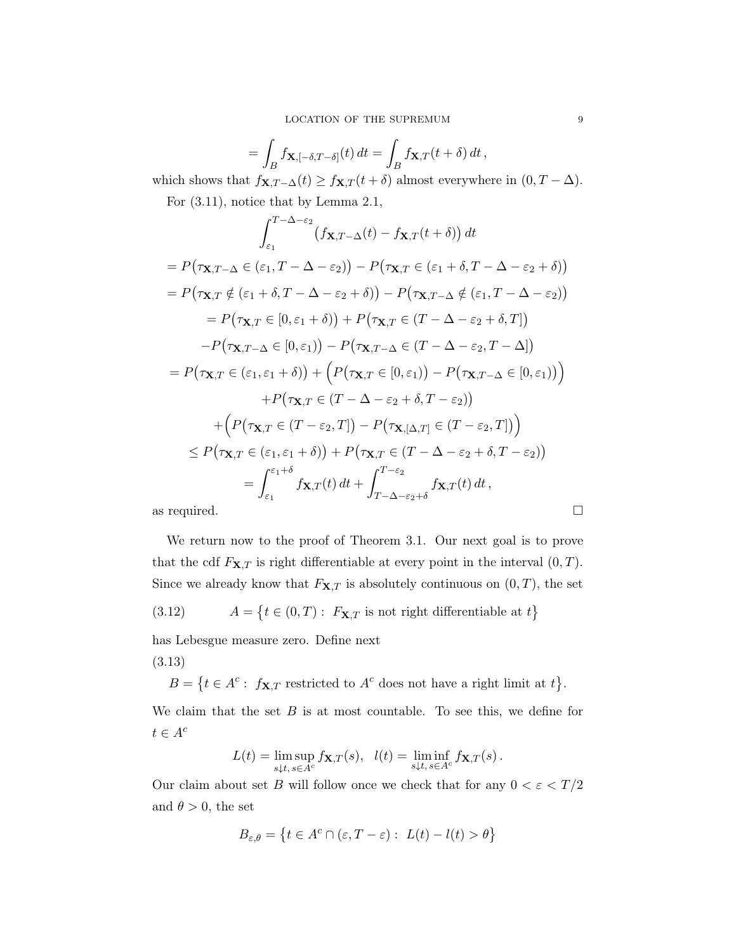$$
= \int_{B} f_{\mathbf{X}, [-\delta, T-\delta]}(t) dt = \int_{B} f_{\mathbf{X}, T}(t+\delta) dt,
$$
  
the function  $f_{\mathbf{X}, T-\delta}(t) > f_{\mathbf{X}, T}(t+\delta)$  almost everywhere.

which shows that  $f_{\mathbf{X},T-\Delta}(t) \geq f_{\mathbf{X},T}(t+\delta)$  almost everywhere in  $(0, T - \Delta)$ . For (3.11), notice that by Lemma 2.1,

$$
\int_{\varepsilon_1}^{T-\Delta-\varepsilon_2} (f_{\mathbf{X},T-\Delta}(t) - f_{\mathbf{X},T}(t+\delta)) dt
$$
  
\n
$$
= P(\tau_{\mathbf{X},T-\Delta} \in (\varepsilon_1, T-\Delta-\varepsilon_2)) - P(\tau_{\mathbf{X},T} \in (\varepsilon_1+\delta, T-\Delta-\varepsilon_2+\delta))
$$
  
\n
$$
= P(\tau_{\mathbf{X},T} \notin (\varepsilon_1+\delta, T-\Delta-\varepsilon_2+\delta)) - P(\tau_{\mathbf{X},T-\Delta} \notin (\varepsilon_1, T-\Delta-\varepsilon_2))
$$
  
\n
$$
= P(\tau_{\mathbf{X},T} \in [0, \varepsilon_1+\delta)) + P(\tau_{\mathbf{X},T} \in (T-\Delta-\varepsilon_2+\delta, T])
$$
  
\n
$$
-P(\tau_{\mathbf{X},T-\Delta} \in [0, \varepsilon_1)) - P(\tau_{\mathbf{X},T-\Delta} \in (T-\Delta-\varepsilon_2, T-\Delta])
$$
  
\n
$$
= P(\tau_{\mathbf{X},T} \in (\varepsilon_1, \varepsilon_1+\delta)) + \left( P(\tau_{\mathbf{X},T} \in [0, \varepsilon_1)) - P(\tau_{\mathbf{X},T-\Delta} \in [0, \varepsilon_1)) \right)
$$
  
\n
$$
+ P(\tau_{\mathbf{X},T} \in (T-\Delta-\varepsilon_2+\delta, T-\varepsilon_2))
$$
  
\n
$$
+ \left( P(\tau_{\mathbf{X},T} \in (T-\varepsilon_2, T]) - P(\tau_{\mathbf{X},[\Delta,T]} \in (T-\varepsilon_2, T]) \right)
$$
  
\n
$$
\leq P(\tau_{\mathbf{X},T} \in (\varepsilon_1, \varepsilon_1+\delta)) + P(\tau_{\mathbf{X},T} \in (T-\Delta-\varepsilon_2+\delta, T-\varepsilon_2))
$$
  
\n
$$
= \int_{\varepsilon_1}^{\varepsilon_1+\delta} f_{\mathbf{X},T}(t) dt + \int_{T-\Delta-\varepsilon_2+\delta}^{\varepsilon_2} f_{\mathbf{X},T}(t) dt,
$$

We return now to the proof of Theorem 3.1. Our next goal is to prove that the cdf  $F_{\mathbf{X},T}$  is right differentiable at every point in the interval  $(0, T)$ . Since we already know that  $F_{\mathbf{X},T}$  is absolutely continuous on  $(0,T)$ , the set

(3.12) 
$$
A = \{t \in (0, T): F_{\mathbf{X}, T} \text{ is not right differentiable at } t\}
$$

has Lebesgue measure zero. Define next

(3.13)

 $B = \{t \in A^c: f_{\mathbf{X},T} \text{ restricted to } A^c \text{ does not have a right limit at } t\}.$ 

We claim that the set  $B$  is at most countable. To see this, we define for  $t \in A^c$ 

$$
L(t) = \limsup_{s \downarrow t, s \in A^c} f_{\mathbf{X}, T}(s), \ \ l(t) = \liminf_{s \downarrow t, s \in A^c} f_{\mathbf{X}, T}(s) \, .
$$

Our claim about set  $B$  will follow once we check that for any  $0 < \varepsilon < T/2$ and  $\theta > 0$ , the set

$$
B_{\varepsilon,\theta} = \left\{ t \in A^c \cap (\varepsilon, T - \varepsilon) : L(t) - l(t) > \theta \right\}
$$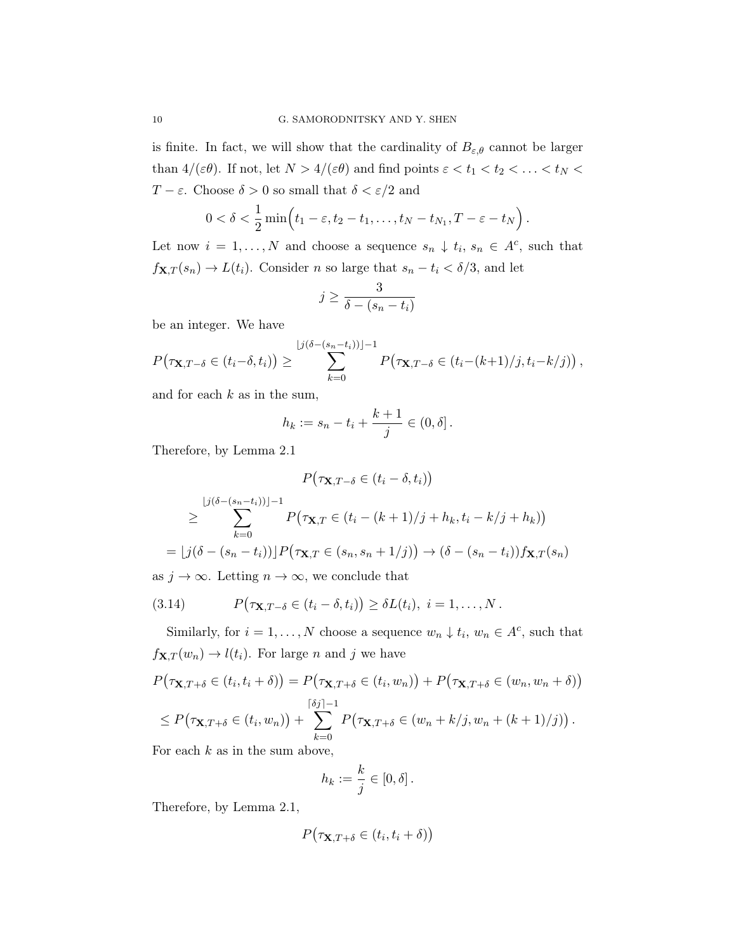is finite. In fact, we will show that the cardinality of  $B_{\varepsilon,\theta}$  cannot be larger than  $4/(\varepsilon\theta)$ . If not, let  $N > 4/(\varepsilon\theta)$  and find points  $\varepsilon < t_1 < t_2 < \ldots < t_N <$ T –  $\varepsilon$ . Choose  $\delta > 0$  so small that  $\delta < \varepsilon/2$  and

$$
0<\delta<\frac{1}{2}\min(t_1-\varepsilon,t_2-t_1,\ldots,t_N-t_{N_1},T-\varepsilon-t_N).
$$

Let now  $i = 1, ..., N$  and choose a sequence  $s_n \downarrow t_i, s_n \in A^c$ , such that  $f_{\mathbf{X},T}(s_n) \to L(t_i)$ . Consider n so large that  $s_n - t_i < \delta/3$ , and let

$$
j \ge \frac{3}{\delta - (s_n - t_i)}
$$

be an integer. We have

$$
P(\tau_{\mathbf{X},T-\delta}\in(t_i-\delta,t_i))\geq\sum_{k=0}^{\lfloor j(\delta-(s_n-t_i))\rfloor-1}P(\tau_{\mathbf{X},T-\delta}\in(t_i-(k+1)/j,t_i-k/j)),
$$

and for each  $k$  as in the sum,

$$
h_k := s_n - t_i + \frac{k+1}{j} \in (0, \delta].
$$

Therefore, by Lemma 2.1

$$
P(\tau_{\mathbf{X},T-\delta} \in (t_i - \delta, t_i))
$$
  
\n
$$
\geq \sum_{k=0}^{\lfloor j(\delta - (s_n - t_i)) \rfloor - 1} P(\tau_{\mathbf{X},T} \in (t_i - (k+1)/j + h_k, t_i - k/j + h_k))
$$
  
\n
$$
= \lfloor j(\delta - (s_n - t_i)) \rfloor P(\tau_{\mathbf{X},T} \in (s_n, s_n + 1/j)) \to (\delta - (s_n - t_i)) f_{\mathbf{X},T}(s_n)
$$

as  $j \to \infty$ . Letting  $n \to \infty$ , we conclude that

(3.14) 
$$
P(\tau_{\mathbf{X},T-\delta}\in (t_i-\delta,t_i))\geq \delta L(t_i),\ i=1,\ldots,N.
$$

Similarly, for  $i = 1, ..., N$  choose a sequence  $w_n \downarrow t_i, w_n \in A^c$ , such that  $f_{\mathbf{X},T}(w_n) \rightarrow l(t_i)$ . For large *n* and *j* we have

$$
P(\tau_{\mathbf{X},T+\delta} \in (t_i, t_i + \delta)) = P(\tau_{\mathbf{X},T+\delta} \in (t_i, w_n)) + P(\tau_{\mathbf{X},T+\delta} \in (w_n, w_n + \delta))
$$
  
\n
$$
\leq P(\tau_{\mathbf{X},T+\delta} \in (t_i, w_n)) + \sum_{k=0}^{\lceil \delta j \rceil - 1} P(\tau_{\mathbf{X},T+\delta} \in (w_n + k/j, w_n + (k+1)/j)).
$$

For each  $k$  as in the sum above,

$$
h_k := \frac{k}{j} \in [0, \delta].
$$

Therefore, by Lemma 2.1,

$$
P(\tau_{\mathbf{X},T+\delta}\in(t_i,t_i+\delta))
$$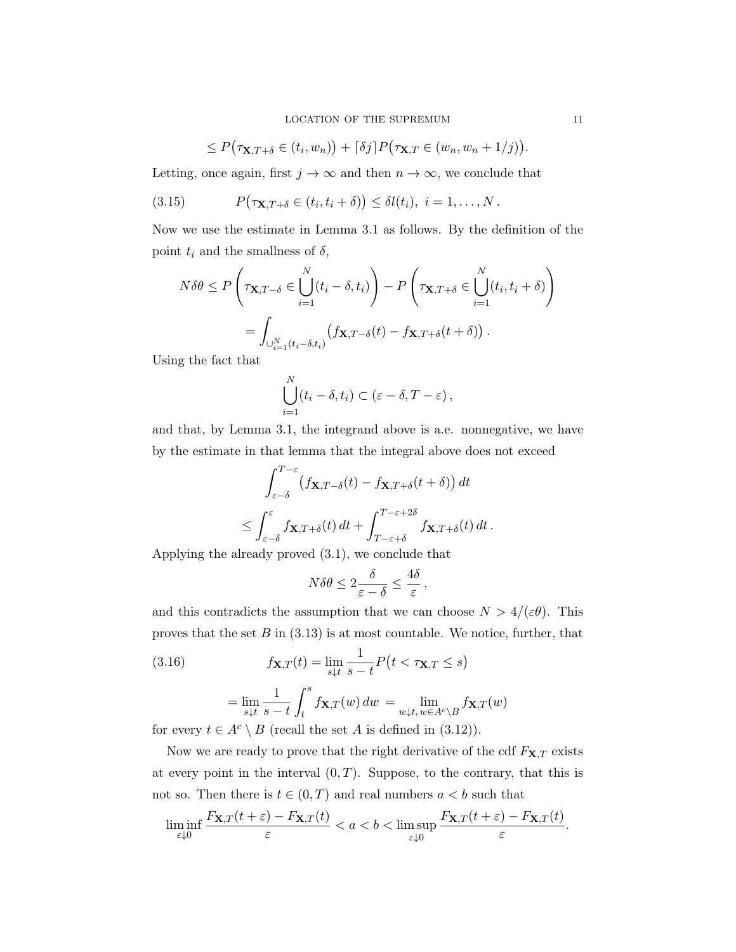LOCATION OF THE SUPREMUM 11

$$
\leq P(\tau_{\mathbf{X},T+\delta}\in (t_i,w_n))+\lceil \delta j\rceil P(\tau_{\mathbf{X},T}\in (w_n,w_n+1/j)).
$$

Letting, once again, first  $j \to \infty$  and then  $n \to \infty$ , we conclude that

(3.15) 
$$
P(\tau_{\mathbf{X},T+\delta}\in (t_i,t_i+\delta))\leq \delta l(t_i),\ i=1,\ldots,N.
$$

Now we use the estimate in Lemma 3.1 as follows. By the definition of the point  $t_i$  and the smallness of  $\delta$ ,

$$
N\delta\theta \le P\left(\tau_{\mathbf{X},T-\delta} \in \bigcup_{i=1}^N (t_i - \delta, t_i)\right) - P\left(\tau_{\mathbf{X},T+\delta} \in \bigcup_{i=1}^N (t_i, t_i + \delta)\right)
$$
  
= 
$$
\int_{\bigcup_{i=1}^N (t_i - \delta, t_i)} (f_{\mathbf{X},T-\delta}(t) - f_{\mathbf{X},T+\delta}(t + \delta)).
$$

Using the fact that

$$
\bigcup_{i=1}^N (t_i - \delta, t_i) \subset (\varepsilon - \delta, T - \varepsilon),
$$

and that, by Lemma 3.1, the integrand above is a.e. nonnegative, we have by the estimate in that lemma that the integral above does not exceed

$$
\int_{\varepsilon-\delta}^{T-\varepsilon} \left( f \mathbf{x}, T-\delta(t) - f \mathbf{x}, T+\delta(t+\delta) \right) dt
$$
  

$$
\leq \int_{\varepsilon-\delta}^{\varepsilon} f \mathbf{x}, T+\delta(t) dt + \int_{T-\varepsilon+\delta}^{T-\varepsilon+2\delta} f \mathbf{x}, T+\delta(t) dt.
$$

Applying the already proved (3.1), we conclude that

$$
N\delta\theta \le 2\frac{\delta}{\varepsilon - \delta} \le \frac{4\delta}{\varepsilon},
$$

and this contradicts the assumption that we can choose  $N > 4/(\varepsilon \theta)$ . This proves that the set  $B$  in (3.13) is at most countable. We notice, further, that

(3.16) 
$$
f_{\mathbf{X},T}(t) = \lim_{s \downarrow t} \frac{1}{s-t} P(t < \tau_{\mathbf{X},T} \le s)
$$

$$
= \lim_{s \downarrow t} \frac{1}{s-t} \int_{t}^{s} f_{\mathbf{X},T}(w) dw = \lim_{w \downarrow t, w \in A^c \setminus B} f_{\mathbf{X},T}(w)
$$
for some  $t \in A^c \setminus B$  (resp.

for every  $t \in A^c \setminus B$  (recall the set A is defined in (3.12)).

Now we are ready to prove that the right derivative of the cdf  $F_{\mathbf{X},T}$  exists at every point in the interval  $(0, T)$ . Suppose, to the contrary, that this is not so. Then there is  $t \in (0, T)$  and real numbers  $a < b$  such that

$$
\liminf_{\varepsilon \downarrow 0} \frac{F_{\mathbf{X},T}(t+\varepsilon) - F_{\mathbf{X},T}(t)}{\varepsilon} < a < b < \limsup_{\varepsilon \downarrow 0} \frac{F_{\mathbf{X},T}(t+\varepsilon) - F_{\mathbf{X},T}(t)}{\varepsilon}.
$$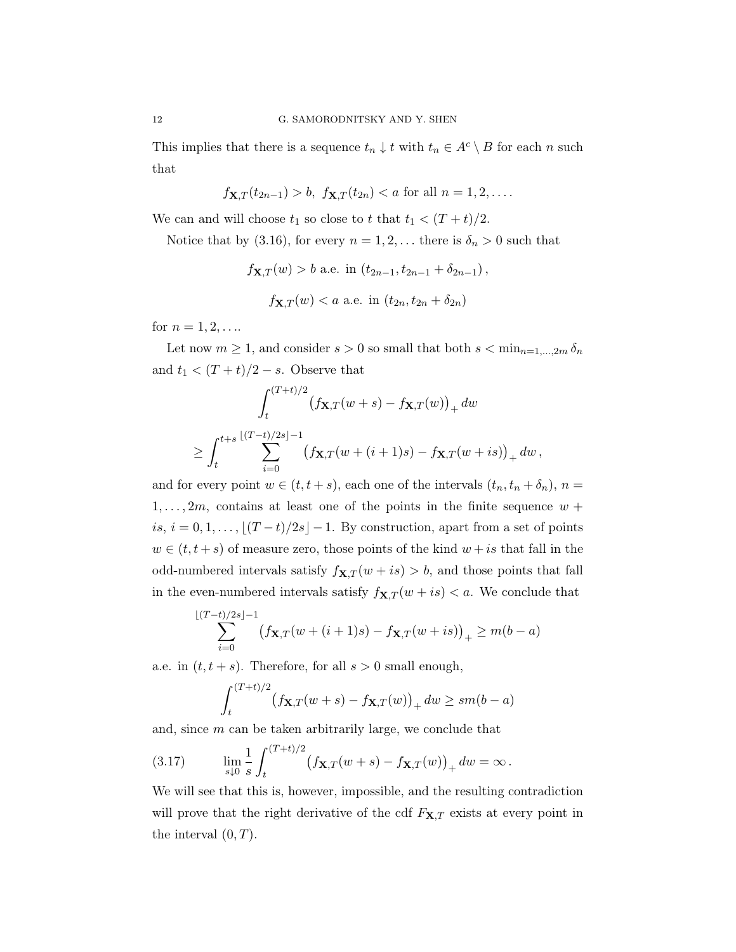This implies that there is a sequence  $t_n \downarrow t$  with  $t_n \in A^c \setminus B$  for each n such that

$$
f_{\mathbf{X},T}(t_{2n-1}) > b
$$
,  $f_{\mathbf{X},T}(t_{2n}) < a$  for all  $n = 1, 2, ...$ 

We can and will choose  $t_1$  so close to t that  $t_1 < (T + t)/2$ .

Notice that by (3.16), for every  $n = 1, 2, \ldots$  there is  $\delta_n > 0$  such that

$$
f_{\mathbf{X},T}(w) > b
$$
 a.e. in  $(t_{2n-1}, t_{2n-1} + \delta_{2n-1}),$   
 $f_{\mathbf{X},T}(w) < a$  a.e. in  $(t_{2n}, t_{2n} + \delta_{2n})$ 

for  $n = 1, 2, ...$ 

Let now  $m \geq 1$ , and consider  $s > 0$  so small that both  $s < \min_{n=1,\dots,2m} \delta_n$ and  $t_1 < (T + t)/2 - s$ . Observe that

$$
\int_{t}^{(T+t)/2} (f_{\mathbf{X},T}(w+s) - f_{\mathbf{X},T}(w))_{+} dw
$$
  
\n
$$
\geq \int_{t}^{t+s} \sum_{i=0}^{\lfloor (T-t)/2s \rfloor -1} (f_{\mathbf{X},T}(w+(i+1)s) - f_{\mathbf{X},T}(w+is))_{+} dw,
$$

and for every point  $w \in (t, t + s)$ , each one of the intervals  $(t_n, t_n + \delta_n)$ ,  $n =$  $1, \ldots, 2m$ , contains at least one of the points in the finite sequence  $w +$ is,  $i = 0, 1, \ldots, \lfloor (T - t)/2s \rfloor - 1$ . By construction, apart from a set of points  $w \in (t, t + s)$  of measure zero, those points of the kind  $w + is$  that fall in the odd-numbered intervals satisfy  $f_{\mathbf{X},T}(w + is) > b$ , and those points that fall in the even-numbered intervals satisfy  $f_{\mathbf{X},T} (w + is) < a$ . We conclude that

$$
\sum_{i=0}^{\lfloor (T-t)/2s \rfloor -1} \bigl( f_{\mathbf{X},T}(w+(i+1)s) - f_{\mathbf{X},T}(w+is) \bigr)_+ \geq m(b-a)
$$

a.e. in  $(t, t + s)$ . Therefore, for all  $s > 0$  small enough,

$$
\int_{t}^{(T+t)/2} (f_{\mathbf{X},T}(w+s) - f_{\mathbf{X},T}(w))_{+} dw \geq sm(b-a)
$$

and, since m can be taken arbitrarily large, we conclude that

(3.17) 
$$
\lim_{s \downarrow 0} \frac{1}{s} \int_{t}^{(T+t)/2} (f_{\mathbf{X},T}(w+s) - f_{\mathbf{X},T}(w))_{+} dw = \infty.
$$

We will see that this is, however, impossible, and the resulting contradiction will prove that the right derivative of the cdf  $F_{\mathbf{X},T}$  exists at every point in the interval  $(0, T)$ .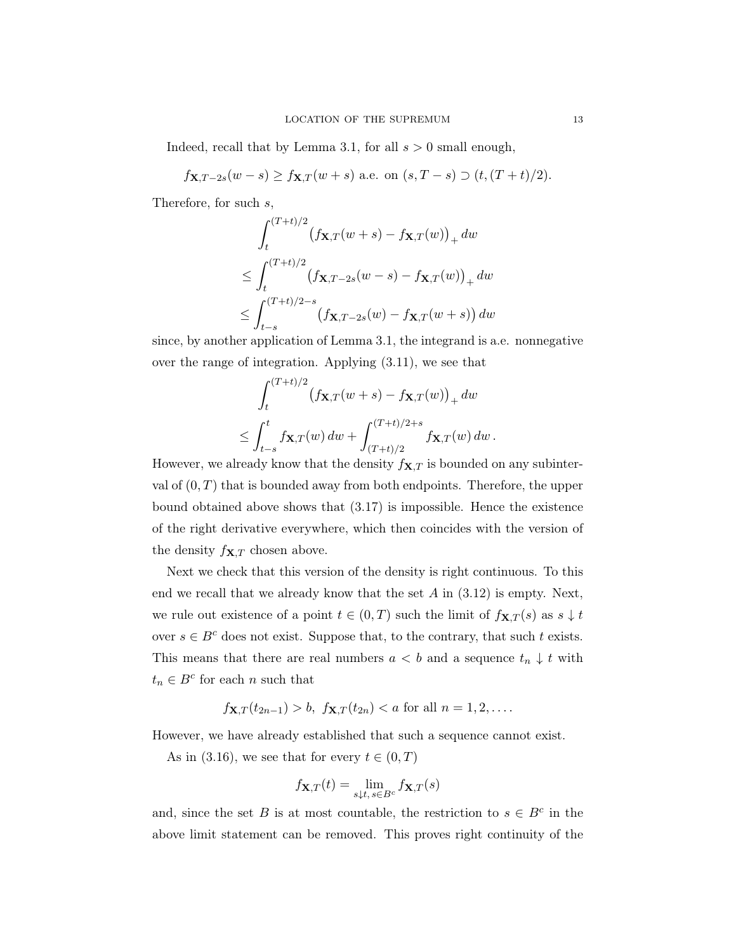Indeed, recall that by Lemma 3.1, for all  $s > 0$  small enough,

 $f_{\mathbf{X},T-2s}(w-s) \ge f_{\mathbf{X},T}(w+s)$  a.e. on  $(s,T-s) \supset (t,(T+t)/2)$ .

Therefore, for such s,

$$
\int_{t}^{(T+t)/2} \left(f\mathbf{x}, T(w+s) - f\mathbf{x}, T(w)\right)_{+} dw
$$
\n
$$
\leq \int_{t}^{(T+t)/2} \left(f\mathbf{x}, T-2s(w-s) - f\mathbf{x}, T(w)\right)_{+} dw
$$
\n
$$
\leq \int_{t-s}^{(T+t)/2-s} \left(f\mathbf{x}, T-2s(w) - f\mathbf{x}, T(w+s)\right) dw
$$

since, by another application of Lemma 3.1, the integrand is a.e. nonnegative over the range of integration. Applying (3.11), we see that

$$
\int_{t}^{(T+t)/2} (f_{\mathbf{X},T}(w+s) - f_{\mathbf{X},T}(w))_{+} dw
$$
  
\n
$$
\leq \int_{t-s}^{t} f_{\mathbf{X},T}(w) dw + \int_{(T+t)/2}^{(T+t)/2+s} f_{\mathbf{X},T}(w) dw.
$$

However, we already know that the density  $f_{\mathbf{X},T}$  is bounded on any subinterval of  $(0, T)$  that is bounded away from both endpoints. Therefore, the upper bound obtained above shows that (3.17) is impossible. Hence the existence of the right derivative everywhere, which then coincides with the version of the density  $f_{\mathbf{X},T}$  chosen above.

Next we check that this version of the density is right continuous. To this end we recall that we already know that the set  $A$  in  $(3.12)$  is empty. Next, we rule out existence of a point  $t \in (0,T)$  such the limit of  $f_{\mathbf{X},T}(s)$  as  $s \downarrow t$ over  $s \in B^c$  does not exist. Suppose that, to the contrary, that such t exists. This means that there are real numbers  $a < b$  and a sequence  $t_n \downarrow t$  with  $t_n \in B^c$  for each n such that

$$
f_{\mathbf{X},T}(t_{2n-1}) > b
$$
,  $f_{\mathbf{X},T}(t_{2n}) < a$  for all  $n = 1, 2, ...$ 

However, we have already established that such a sequence cannot exist.

As in (3.16), we see that for every  $t \in (0, T)$ 

$$
f_{\mathbf{X},T}(t) = \lim_{s \downarrow t, s \in B^c} f_{\mathbf{X},T}(s)
$$

and, since the set B is at most countable, the restriction to  $s \in B^c$  in the above limit statement can be removed. This proves right continuity of the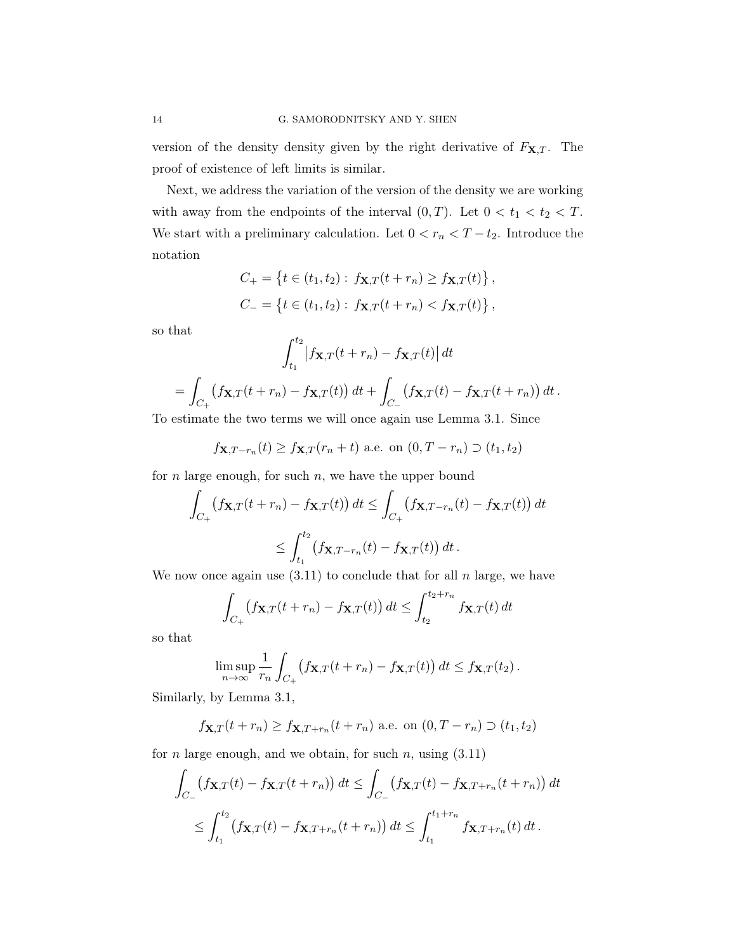version of the density density given by the right derivative of  $F_{\mathbf{X},T}$ . The proof of existence of left limits is similar.

Next, we address the variation of the version of the density we are working with away from the endpoints of the interval  $(0, T)$ . Let  $0 < t_1 < t_2 < T$ . We start with a preliminary calculation. Let  $0 < r_n < T-t_2.$  Introduce the notation

$$
C_{+} = \{ t \in (t_1, t_2) : f_{\mathbf{X},T}(t + r_n) \ge f_{\mathbf{X},T}(t) \},\,
$$
  

$$
C_{-} = \{ t \in (t_1, t_2) : f_{\mathbf{X},T}(t + r_n) < f_{\mathbf{X},T}(t) \},\,
$$

so that

$$
\int_{t_1}^{t_2} \left| f_{\mathbf{X},T}(t+r_n) - f_{\mathbf{X},T}(t) \right| dt
$$
  
= 
$$
\int_{C_+} \left( f_{\mathbf{X},T}(t+r_n) - f_{\mathbf{X},T}(t) \right) dt + \int_{C_-} \left( f_{\mathbf{X},T}(t) - f_{\mathbf{X},T}(t+r_n) \right) dt.
$$

To estimate the two terms we will once again use Lemma 3.1. Since

$$
f_{\mathbf{X},T-r_n}(t) \ge f_{\mathbf{X},T}(r_n+t)
$$
 a.e. on  $(0,T-r_n) \supset (t_1,t_2)$ 

for  $n$  large enough, for such  $n$ , we have the upper bound

$$
\int_{C_+} \left( f \mathbf{x}_{,T}(t+r_n) - f \mathbf{x}_{,T}(t) \right) dt \le \int_{C_+} \left( f \mathbf{x}_{,T-r_n}(t) - f \mathbf{x}_{,T}(t) \right) dt
$$
\n
$$
\le \int_{t_1}^{t_2} \left( f \mathbf{x}_{,T-r_n}(t) - f \mathbf{x}_{,T}(t) \right) dt.
$$

We now once again use  $(3.11)$  to conclude that for all n large, we have

$$
\int_{C_+} \left( f_{\mathbf{X},T}(t+r_n) - f_{\mathbf{X},T}(t) \right) dt \le \int_{t_2}^{t_2+r_n} f_{\mathbf{X},T}(t) dt
$$

so that

$$
\limsup_{n\to\infty}\frac{1}{r_n}\int_{C_+}\big(f_{\mathbf{X},T}(t+r_n)-f_{\mathbf{X},T}(t)\big)\,dt\leq f_{\mathbf{X},T}(t_2).
$$

Similarly, by Lemma 3.1,

$$
f_{\mathbf{X},T}(t+r_n) \ge f_{\mathbf{X},T+r_n}(t+r_n)
$$
 a.e. on  $(0,T-r_n) \supset (t_1,t_2)$ 

for *n* large enough, and we obtain, for such *n*, using  $(3.11)$ 

$$
\int_{C_{-}} \left( f_{\mathbf{X},T}(t) - f_{\mathbf{X},T}(t+r_n) \right) dt \le \int_{C_{-}} \left( f_{\mathbf{X},T}(t) - f_{\mathbf{X},T+r_n}(t+r_n) \right) dt
$$
\n
$$
\le \int_{t_1}^{t_2} \left( f_{\mathbf{X},T}(t) - f_{\mathbf{X},T+r_n}(t+r_n) \right) dt \le \int_{t_1}^{t_1+r_n} f_{\mathbf{X},T+r_n}(t) dt.
$$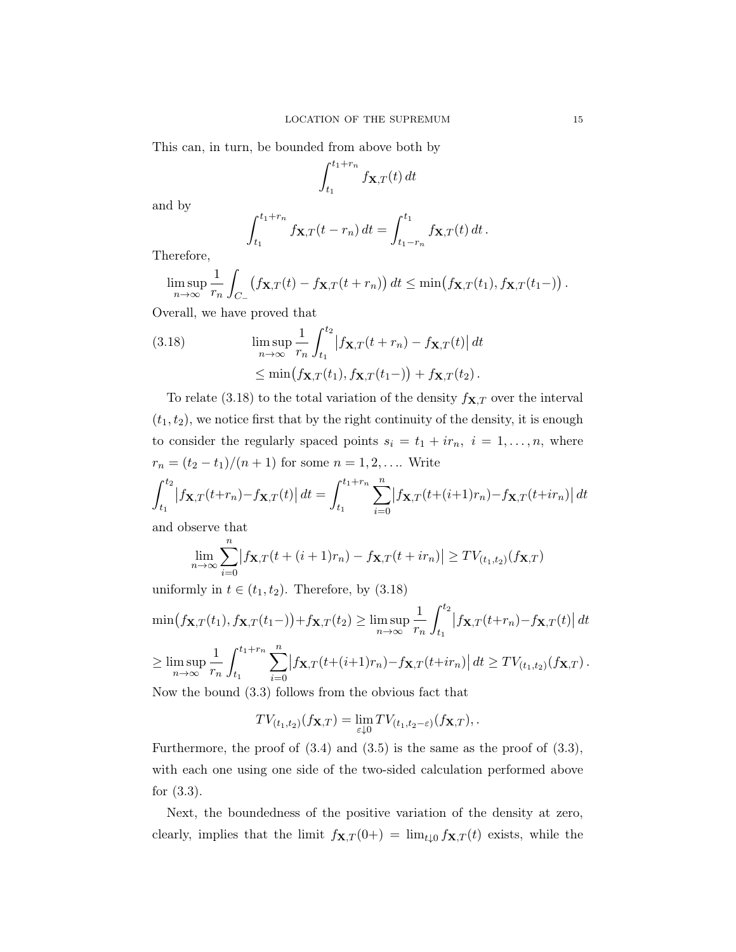This can, in turn, be bounded from above both by

$$
\int_{t_1}^{t_1+r_n} f_{\mathbf{X},T}(t) dt
$$

and by

$$
\int_{t_1}^{t_1+r_n} f_{\mathbf{X},T}(t-r_n) dt = \int_{t_1-r_n}^{t_1} f_{\mathbf{X},T}(t) dt.
$$

Therefore,

$$
\limsup_{n\to\infty}\frac{1}{r_n}\int_{C_-}\big(f_{\mathbf{X},T}(t)-f_{\mathbf{X},T}(t+r_n)\big)\,dt\leq \min\big(f_{\mathbf{X},T}(t_1),f_{\mathbf{X},T}(t_1-)\big)\,.
$$

Overall, we have proved that

(3.18) 
$$
\limsup_{n \to \infty} \frac{1}{r_n} \int_{t_1}^{t_2} \left| f_{\mathbf{X},T}(t+r_n) - f_{\mathbf{X},T}(t) \right| dt
$$

$$
\leq \min(f_{\mathbf{X},T}(t_1), f_{\mathbf{X},T}(t_1-)) + f_{\mathbf{X},T}(t_2).
$$

To relate (3.18) to the total variation of the density  $f_{\mathbf{X},T}$  over the interval  $(t_1, t_2)$ , we notice first that by the right continuity of the density, it is enough to consider the regularly spaced points  $s_i = t_1 + ir_n, i = 1, ..., n$ , where  $r_n = (t_2 - t_1)/(n + 1)$  for some  $n = 1, 2, ...$  Write

$$
\int_{t_1}^{t_2} |f_{\mathbf{X},T}(t+r_n) - f_{\mathbf{X},T}(t)| dt = \int_{t_1}^{t_1+r_n} \sum_{i=0}^n |f_{\mathbf{X},T}(t+(i+1)r_n) - f_{\mathbf{X},T}(t+ir_n)| dt
$$

and observe that

$$
\lim_{n \to \infty} \sum_{i=0}^{n} |f_{\mathbf{X},T}(t + (i+1)r_n) - f_{\mathbf{X},T}(t + ir_n)| \geq TV_{(t_1,t_2)}(f_{\mathbf{X},T})
$$

uniformly in  $t \in (t_1, t_2)$ . Therefore, by  $(3.18)$ 

$$
\min(f_{\mathbf{X},T}(t_1), f_{\mathbf{X},T}(t_1-)) + f_{\mathbf{X},T}(t_2) \ge \limsup_{n \to \infty} \frac{1}{r_n} \int_{t_1}^{t_2} |f_{\mathbf{X},T}(t+r_n) - f_{\mathbf{X},T}(t)| dt
$$
  
\n
$$
\ge \limsup_{n \to \infty} \frac{1}{r_n} \int_{t_1}^{t_1+r_n} \sum_{i=0}^n |f_{\mathbf{X},T}(t+(i+1)r_n) - f_{\mathbf{X},T}(t+ir_n)| dt \ge TV_{(t_1,t_2)}(f_{\mathbf{X},T}).
$$

Now the bound (3.3) follows from the obvious fact that

$$
TV_{(t_1,t_2)}(f_{\mathbf{X},T}) = \lim_{\varepsilon \downarrow 0} TV_{(t_1,t_2-\varepsilon)}(f_{\mathbf{X},T}),
$$

Furthermore, the proof of  $(3.4)$  and  $(3.5)$  is the same as the proof of  $(3.3)$ , with each one using one side of the two-sided calculation performed above for (3.3).

Next, the boundedness of the positive variation of the density at zero, clearly, implies that the limit  $f_{\mathbf{X},T}(0+) = \lim_{t \downarrow 0} f_{\mathbf{X},T}(t)$  exists, while the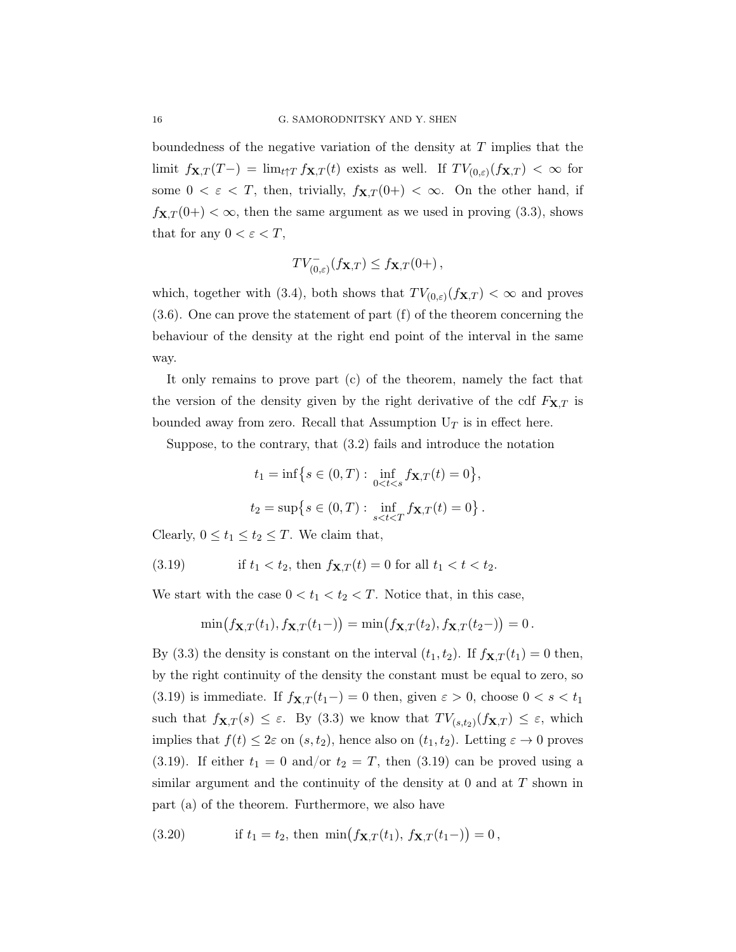boundedness of the negative variation of the density at  $T$  implies that the limit  $f_{\mathbf{X},T}(T-) = \lim_{t \uparrow T} f_{\mathbf{X},T}(t)$  exists as well. If  $TV_{(0,\varepsilon)}(f_{\mathbf{X},T}) < \infty$  for some  $0 < \varepsilon < T$ , then, trivially,  $f_{\mathbf{X},T}(0+) < \infty$ . On the other hand, if  $f_{\mathbf{X},T}(0+) < \infty$ , then the same argument as we used in proving (3.3), shows that for any  $0 < \varepsilon < T$ ,

$$
TV_{(0,\varepsilon)}^-(f_{\mathbf{X},T}) \le f_{\mathbf{X},T}(0+),
$$

which, together with (3.4), both shows that  $TV_{(0,\varepsilon)}(f_{\mathbf{X},T}) < \infty$  and proves (3.6). One can prove the statement of part (f) of the theorem concerning the behaviour of the density at the right end point of the interval in the same way.

It only remains to prove part (c) of the theorem, namely the fact that the version of the density given by the right derivative of the cdf  $F_{\mathbf{X},T}$  is bounded away from zero. Recall that Assumption  $U_T$  is in effect here.

Suppose, to the contrary, that (3.2) fails and introduce the notation

$$
t_1 = \inf\big\{s \in (0, T) : \inf_{0 < t < s} f_{\mathbf{X}, T}(t) = 0\big\},
$$
\n
$$
t_2 = \sup\big\{s \in (0, T) : \inf_{s < t < T} f_{\mathbf{X}, T}(t) = 0\big\}.
$$

Clearly,  $0 \le t_1 \le t_2 \le T$ . We claim that,

(3.19) if 
$$
t_1 < t_2
$$
, then  $f_{\mathbf{X},T}(t) = 0$  for all  $t_1 < t < t_2$ .

We start with the case  $0 < t_1 < t_2 < T$ . Notice that, in this case,

$$
\min(f_{\mathbf{X},T}(t_1), f_{\mathbf{X},T}(t_1-)) = \min(f_{\mathbf{X},T}(t_2), f_{\mathbf{X},T}(t_2-)) = 0.
$$

By (3.3) the density is constant on the interval  $(t_1, t_2)$ . If  $f_{\mathbf{X},T}(t_1) = 0$  then, by the right continuity of the density the constant must be equal to zero, so (3.19) is immediate. If  $f_{\mathbf{X},T}(t_1-) = 0$  then, given  $\varepsilon > 0$ , choose  $0 < s < t_1$ such that  $f_{\mathbf{X},T}(s) \leq \varepsilon$ . By (3.3) we know that  $TV_{(s,t_2)}(f_{\mathbf{X},T}) \leq \varepsilon$ , which implies that  $f(t) \leq 2\varepsilon$  on  $(s, t_2)$ , hence also on  $(t_1, t_2)$ . Letting  $\varepsilon \to 0$  proves (3.19). If either  $t_1 = 0$  and/or  $t_2 = T$ , then (3.19) can be proved using a similar argument and the continuity of the density at 0 and at T shown in part (a) of the theorem. Furthermore, we also have

(3.20) if 
$$
t_1 = t_2
$$
, then  $\min(f_{\mathbf{X},T}(t_1), f_{\mathbf{X},T}(t_1-)) = 0$ ,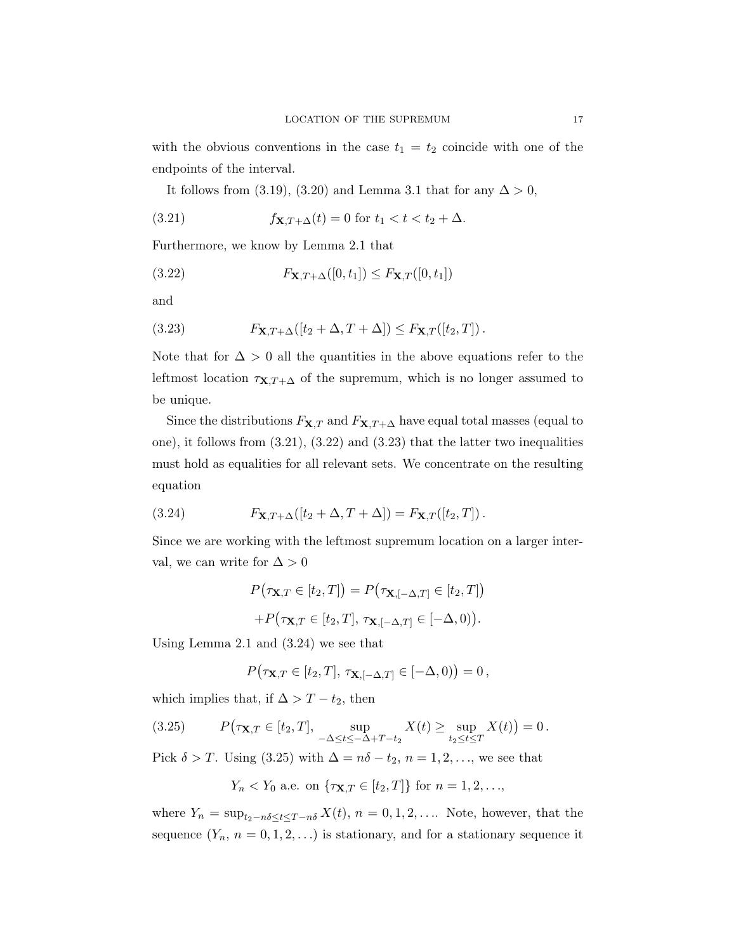with the obvious conventions in the case  $t_1 = t_2$  coincide with one of the endpoints of the interval.

It follows from (3.19), (3.20) and Lemma 3.1 that for any  $\Delta > 0$ ,

(3.21) 
$$
f_{\mathbf{X}, T+\Delta}(t) = 0 \text{ for } t_1 < t < t_2 + \Delta.
$$

Furthermore, we know by Lemma 2.1 that

$$
(3.22) \qquad \qquad F_{\mathbf{X},T+\Delta}([0,t_1]) \leq F_{\mathbf{X},T}([0,t_1])
$$

and

(3.23) 
$$
F_{\mathbf{X},T+\Delta}([t_2+\Delta,T+\Delta]) \leq F_{\mathbf{X},T}([t_2,T]).
$$

Note that for  $\Delta > 0$  all the quantities in the above equations refer to the leftmost location  $\tau_{\mathbf{X},T+\Delta}$  of the supremum, which is no longer assumed to be unique.

Since the distributions  $F_{\mathbf{X},T}$  and  $F_{\mathbf{X},T+\Delta}$  have equal total masses (equal to one), it follows from (3.21), (3.22) and (3.23) that the latter two inequalities must hold as equalities for all relevant sets. We concentrate on the resulting equation

(3.24) 
$$
F_{\mathbf{X}, T+\Delta}([t_2+\Delta, T+\Delta]) = F_{\mathbf{X}, T}([t_2, T]).
$$

Since we are working with the leftmost supremum location on a larger interval, we can write for  $\Delta > 0$ 

$$
P(\tau \mathbf{x}, T \in [t_2, T]) = P(\tau \mathbf{x}, [-\Delta, T] \in [t_2, T])
$$

$$
+ P(\tau \mathbf{x}, T \in [t_2, T], \tau \mathbf{x}, [-\Delta, T] \in [-\Delta, 0)).
$$

Using Lemma 2.1 and (3.24) we see that

$$
P(\tau_{\mathbf{X},T}\in[t_2,T],\,\tau_{\mathbf{X},[-\Delta,T]}\in[-\Delta,0)\big)=0\,,
$$

which implies that, if  $\Delta > T - t_2$ , then

(3.25) 
$$
P(\tau_{\mathbf{X},T} \in [t_2,T], \sup_{-\Delta \le t \le -\Delta + T - t_2} X(t) \ge \sup_{t_2 \le t \le T} X(t) = 0.
$$

Pick  $\delta > T$ . Using (3.25) with  $\Delta = n\delta - t_2$ ,  $n = 1, 2, \ldots$ , we see that

$$
Y_n < Y_0
$$
 a.e. on  $\{\tau_{\mathbf{X},T} \in [t_2,T]\}$  for  $n = 1,2,\ldots$ ,

where  $Y_n = \sup_{t_2-n\delta \le t \le T-n\delta} X(t)$ ,  $n = 0, 1, 2, \ldots$  Note, however, that the sequence  $(Y_n, n = 0, 1, 2, ...)$  is stationary, and for a stationary sequence it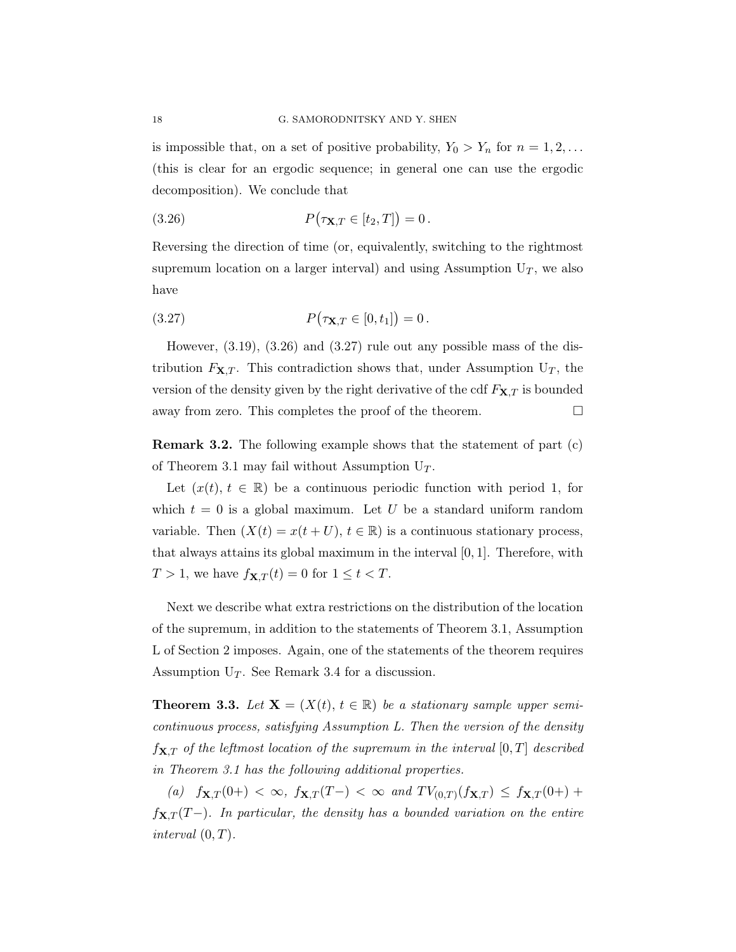is impossible that, on a set of positive probability,  $Y_0 > Y_n$  for  $n = 1, 2, \ldots$ (this is clear for an ergodic sequence; in general one can use the ergodic decomposition). We conclude that

(3.26) 
$$
P(\tau_{\mathbf{X},T} \in [t_2,T]) = 0.
$$

Reversing the direction of time (or, equivalently, switching to the rightmost supremum location on a larger interval) and using Assumption  $U_T$ , we also have

(3.27) 
$$
P(\tau_{\mathbf{X},T} \in [0,t_1]) = 0.
$$

However,  $(3.19)$ ,  $(3.26)$  and  $(3.27)$  rule out any possible mass of the distribution  $F_{\mathbf{X},T}$ . This contradiction shows that, under Assumption  $U_T$ , the version of the density given by the right derivative of the cdf  $F_{\mathbf{X},T}$  is bounded away from zero. This completes the proof of the theorem.  $\Box$ 

Remark 3.2. The following example shows that the statement of part (c) of Theorem 3.1 may fail without Assumption  $U_T$ .

Let  $(x(t), t \in \mathbb{R})$  be a continuous periodic function with period 1, for which  $t = 0$  is a global maximum. Let U be a standard uniform random variable. Then  $(X(t) = x(t + U), t \in \mathbb{R})$  is a continuous stationary process, that always attains its global maximum in the interval [0, 1]. Therefore, with  $T > 1$ , we have  $f_{\mathbf{X},T}(t) = 0$  for  $1 \le t < T$ .

Next we describe what extra restrictions on the distribution of the location of the supremum, in addition to the statements of Theorem 3.1, Assumption L of Section 2 imposes. Again, one of the statements of the theorem requires Assumption  $U_T$ . See Remark 3.4 for a discussion.

**Theorem 3.3.** Let  $X = (X(t), t \in \mathbb{R})$  be a stationary sample upper semicontinuous process, satisfying Assumption L. Then the version of the density  $f_{\mathbf{X},T}$  of the leftmost location of the supremum in the interval  $[0,T]$  described in Theorem 3.1 has the following additional properties.

(a)  $f_{\mathbf{X},T}(0+) < \infty$ ,  $f_{\mathbf{X},T}(T-) < \infty$  and  $TV_{(0,T)}(f_{\mathbf{X},T}) \leq f_{\mathbf{X},T}(0+)$  $f_{\mathbf{X},T}(T-)$ . In particular, the density has a bounded variation on the entire interval  $(0, T)$ .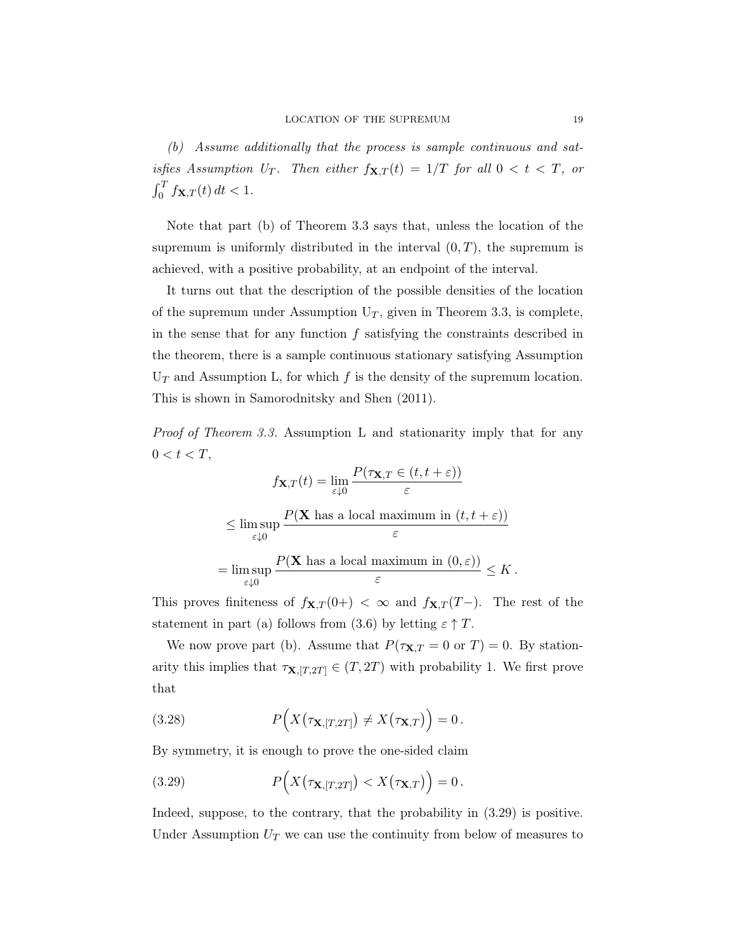(b) Assume additionally that the process is sample continuous and satisfies Assumption U<sub>T</sub>. Then either  $f_{\mathbf{X},T}(t) = 1/T$  for all  $0 < t < T$ , or  $\int_0^T f_{\mathbf{X},T}(t) dt < 1.$ 

Note that part (b) of Theorem 3.3 says that, unless the location of the supremum is uniformly distributed in the interval  $(0, T)$ , the supremum is achieved, with a positive probability, at an endpoint of the interval.

It turns out that the description of the possible densities of the location of the supremum under Assumption  $U_T$ , given in Theorem 3.3, is complete, in the sense that for any function  $f$  satisfying the constraints described in the theorem, there is a sample continuous stationary satisfying Assumption  $U_T$  and Assumption L, for which f is the density of the supremum location. This is shown in Samorodnitsky and Shen (2011).

Proof of Theorem 3.3. Assumption L and stationarity imply that for any  $0 < t < T$ ,

$$
f_{\mathbf{X},T}(t) = \lim_{\varepsilon \downarrow 0} \frac{P(\tau_{\mathbf{X},T} \in (t, t + \varepsilon))}{\varepsilon}
$$
  
\$\leq \limsup\_{\varepsilon \downarrow 0} \frac{P(\mathbf{X} \text{ has a local maximum in } (t, t + \varepsilon))}{\varepsilon}\$  
= 
$$
\limsup_{\varepsilon \downarrow 0} \frac{P(\mathbf{X} \text{ has a local maximum in } (0, \varepsilon))}{\varepsilon} \leq K.
$$

This proves finiteness of  $f_{\mathbf{X},T}(0+) < \infty$  and  $f_{\mathbf{X},T}(T-)$ . The rest of the statement in part (a) follows from (3.6) by letting  $\varepsilon \uparrow T$ .

We now prove part (b). Assume that  $P(\tau_{\mathbf{X},T}=0 \text{ or } T)=0$ . By stationarity this implies that  $\tau_{\mathbf{X},[T,2T]} \in (T,2T)$  with probability 1. We first prove that

(3.28) 
$$
P(X(\tau_{\mathbf{X},[T,2T]}) \neq X(\tau_{\mathbf{X},T})\big) = 0.
$$

By symmetry, it is enough to prove the one-sided claim

(3.29) 
$$
P(X(\tau_{\mathbf{X},[T,2T]}) < X(\tau_{\mathbf{X},T}) = 0.
$$

Indeed, suppose, to the contrary, that the probability in (3.29) is positive. Under Assumption  $U_T$  we can use the continuity from below of measures to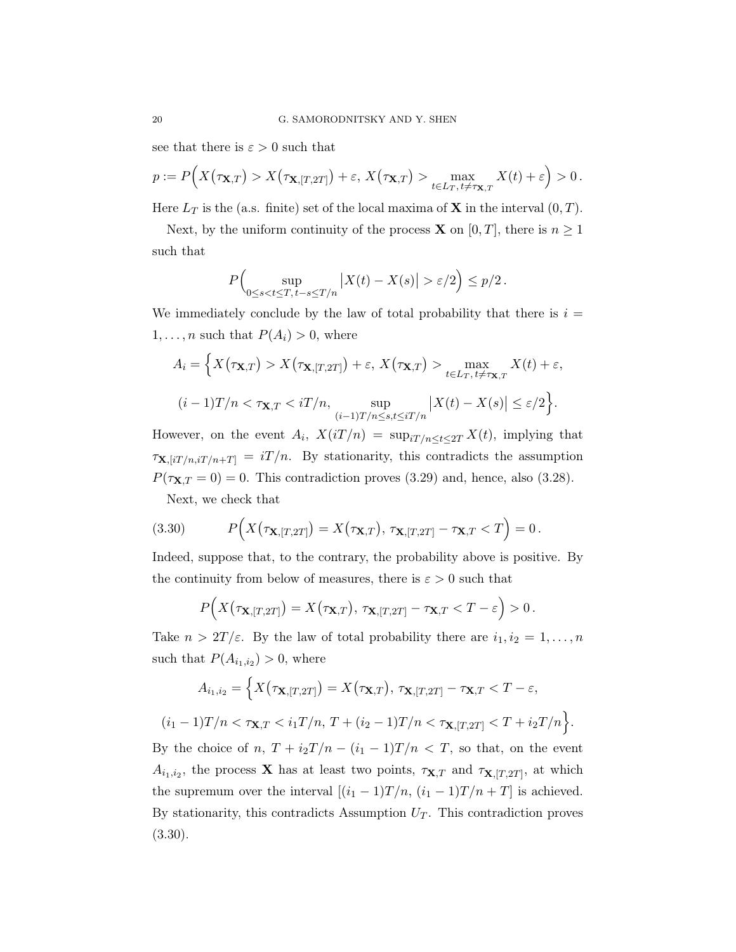see that there is  $\varepsilon > 0$  such that

$$
p := P\Big(X\big(\tau_{\mathbf{X},T}\big) > X\big(\tau_{\mathbf{X},[T,2T]}\big) + \varepsilon, \, X\big(\tau_{\mathbf{X},T}\big) > \max_{t \in L_T, t \neq \tau_{\mathbf{X},T}} X(t) + \varepsilon\Big) > 0\,.
$$

Here  $L_T$  is the (a.s. finite) set of the local maxima of **X** in the interval  $(0, T)$ .

Next, by the uniform continuity of the process **X** on [0, T], there is  $n \geq 1$ such that

$$
P\Big(\sup_{0\leq s\varepsilon/2\Big)\leq p/2.
$$

We immediately conclude by the law of total probability that there is  $i =$  $1, \ldots, n$  such that  $P(A_i) > 0$ , where

$$
A_i = \Big\{ X(\tau_{\mathbf{X},T}) > X(\tau_{\mathbf{X},[T,2T]}) + \varepsilon, X(\tau_{\mathbf{X},T}) > \max_{t \in L_T, t \neq \tau_{\mathbf{X},T}} X(t) + \varepsilon,
$$
  

$$
(i-1)T/n < \tau_{\mathbf{X},T} < iT/n, \sup_{(i-1)T/n \le s, t \le iT/n} |X(t) - X(s)| \le \varepsilon/2 \Big\}.
$$

However, on the event  $A_i$ ,  $X(iT/n) = \sup_{i \in I/n} \le t \le 2T X(t)$ , implying that  $\tau_{\mathbf{X},[iT/n,iT/n+T]} = iT/n$ . By stationarity, this contradicts the assumption  $P(\tau_{\mathbf{X},T}=0) = 0$ . This contradiction proves (3.29) and, hence, also (3.28).

Next, we check that

(3.30) 
$$
P(X(\tau_{\mathbf{X},[T,2T]})=X(\tau_{\mathbf{X},T}), \tau_{\mathbf{X},[T,2T]}-\tau_{\mathbf{X},T}
$$

Indeed, suppose that, to the contrary, the probability above is positive. By the continuity from below of measures, there is  $\varepsilon > 0$  such that

$$
P(X(\tau_{\mathbf{X},[T,2T]})=X(\tau_{\mathbf{X},T}),\,\tau_{\mathbf{X},[T,2T]}-\tau_{\mathbf{X},T}0.
$$

Take  $n > 2T/\varepsilon$ . By the law of total probability there are  $i_1, i_2 = 1, \ldots, n$ such that  $P(A_{i_1,i_2}) > 0$ , where

$$
A_{i_1,i_2} = \Big\{ X(\tau_{\mathbf{X},[T,2T]}) = X(\tau_{\mathbf{X},T}), \tau_{\mathbf{X},[T,2T]} - \tau_{\mathbf{X},T} < T - \varepsilon,
$$
\n
$$
(i_1 - 1)T/n < \tau_{\mathbf{X},T} < i_1 T/n, \ T + (i_2 - 1)T/n < \tau_{\mathbf{X},[T,2T]} < T + i_2 T/n \Big\}.
$$

By the choice of n,  $T + i_2T/n - (i_1 - 1)T/n < T$ , so that, on the event  $A_{i_1,i_2}$ , the process **X** has at least two points,  $\tau_{\mathbf{X},T}$  and  $\tau_{\mathbf{X},[T,2T]}$ , at which the supremum over the interval  $[(i_1 - 1)T/n, (i_1 - 1)T/n + T]$  is achieved. By stationarity, this contradicts Assumption  $U_T$ . This contradiction proves (3.30).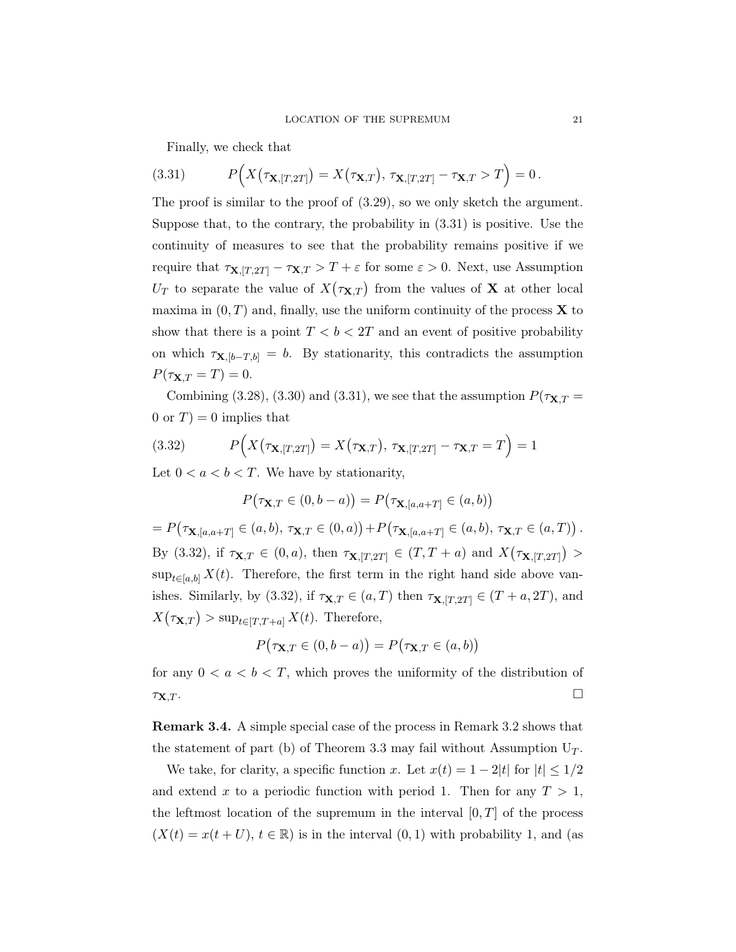Finally, we check that

(3.31) 
$$
P\Big(X\big(\tau_{\mathbf{X},[T,2T]}\big)=X\big(\tau_{\mathbf{X},T}\big),\,\tau_{\mathbf{X},[T,2T]}-\tau_{\mathbf{X},T}>T\Big)=0.
$$

The proof is similar to the proof of (3.29), so we only sketch the argument. Suppose that, to the contrary, the probability in (3.31) is positive. Use the continuity of measures to see that the probability remains positive if we require that  $\tau_{\mathbf{X},[T,2T]} - \tau_{\mathbf{X},T} > T + \varepsilon$  for some  $\varepsilon > 0$ . Next, use Assumption  $U_T$  to separate the value of  $X(\tau_{\mathbf{X},T})$  from the values of **X** at other local maxima in  $(0, T)$  and, finally, use the uniform continuity of the process **X** to show that there is a point  $T < b < 2T$  and an event of positive probability on which  $\tau_{\mathbf{X},[b-T,b]} = b$ . By stationarity, this contradicts the assumption  $P(\tau_{\mathbf{X},T} = T) = 0.$ 

Combining (3.28), (3.30) and (3.31), we see that the assumption  $P(\tau_{\mathbf{X},T})$ 0 or  $T$ ) = 0 implies that

(3.32) 
$$
P(X(\tau_{\mathbf{X},[T,2T]})=X(\tau_{\mathbf{X},T}), \tau_{\mathbf{X},[T,2T]}-\tau_{\mathbf{X},T}=T)=1
$$

Let  $0 < a < b < T$ . We have by stationarity,

$$
P(\tau_{\mathbf{X},T} \in (0,b-a)) = P(\tau_{\mathbf{X},[a,a+T]} \in (a,b))
$$

=  $P(\tau_{\mathbf{X},[a,a+T]} \in (a,b), \tau_{\mathbf{X},T} \in (0,a)) + P(\tau_{\mathbf{X},[a,a+T]} \in (a,b), \tau_{\mathbf{X},T} \in (a,T))$ . By (3.32), if  $\tau_{\mathbf{X},T} \in (0,a)$ , then  $\tau_{\mathbf{X},[T,2T]} \in (T,T+a)$  and  $X(\tau_{\mathbf{X},[T,2T]}) >$  $\sup_{t\in[a,b]} X(t)$ . Therefore, the first term in the right hand side above vanishes. Similarly, by (3.32), if  $\tau_{\mathbf{X},T} \in (a,T)$  then  $\tau_{\mathbf{X},[T,2T]} \in (T+a,2T)$ , and  $X(\tau_{\mathbf{X},T}) > \sup_{t \in [T,T+a]} X(t)$ . Therefore,

$$
P(\tau_{\mathbf{X},T} \in (0, b - a)) = P(\tau_{\mathbf{X},T} \in (a, b))
$$

for any  $0 < a < b < T$ , which proves the uniformity of the distribution of  $\tau_{\mathbf{X},T}$ .

Remark 3.4. A simple special case of the process in Remark 3.2 shows that the statement of part (b) of Theorem 3.3 may fail without Assumption  $U_T$ .

We take, for clarity, a specific function x. Let  $x(t) = 1 - 2|t|$  for  $|t| \leq 1/2$ and extend x to a periodic function with period 1. Then for any  $T > 1$ , the leftmost location of the supremum in the interval  $[0, T]$  of the process  $(X(t) = x(t + U), t \in \mathbb{R})$  is in the interval  $(0, 1)$  with probability 1, and (as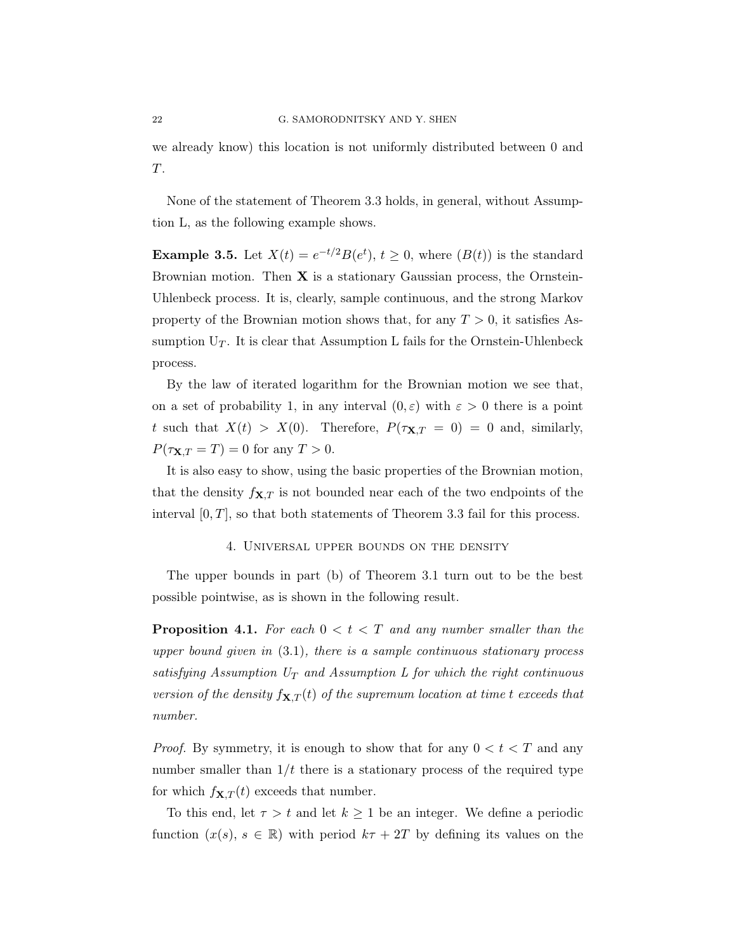we already know) this location is not uniformly distributed between 0 and T.

None of the statement of Theorem 3.3 holds, in general, without Assumption L, as the following example shows.

**Example 3.5.** Let  $X(t) = e^{-t/2}B(e^t), t \ge 0$ , where  $(B(t))$  is the standard Brownian motion. Then  $X$  is a stationary Gaussian process, the Ornstein-Uhlenbeck process. It is, clearly, sample continuous, and the strong Markov property of the Brownian motion shows that, for any  $T > 0$ , it satisfies Assumption  $U_T$ . It is clear that Assumption L fails for the Ornstein-Uhlenbeck process.

By the law of iterated logarithm for the Brownian motion we see that, on a set of probability 1, in any interval  $(0, \varepsilon)$  with  $\varepsilon > 0$  there is a point t such that  $X(t) > X(0)$ . Therefore,  $P(\tau_{\mathbf{X},T} = 0) = 0$  and, similarly,  $P(\tau_{\mathbf{X},T}=T)=0$  for any  $T>0$ .

It is also easy to show, using the basic properties of the Brownian motion, that the density  $f_{\mathbf{X},T}$  is not bounded near each of the two endpoints of the interval  $[0, T]$ , so that both statements of Theorem 3.3 fail for this process.

### 4. Universal upper bounds on the density

The upper bounds in part (b) of Theorem 3.1 turn out to be the best possible pointwise, as is shown in the following result.

**Proposition 4.1.** For each  $0 < t < T$  and any number smaller than the upper bound given in  $(3.1)$ , there is a sample continuous stationary process satisfying Assumption  $U_T$  and Assumption L for which the right continuous version of the density  $f_{\mathbf{X},T}(t)$  of the supremum location at time t exceeds that number.

*Proof.* By symmetry, it is enough to show that for any  $0 < t < T$  and any number smaller than  $1/t$  there is a stationary process of the required type for which  $f_{\mathbf{X},T}(t)$  exceeds that number.

To this end, let  $\tau > t$  and let  $k \geq 1$  be an integer. We define a periodic function  $(x(s), s \in \mathbb{R})$  with period  $k\tau + 2T$  by defining its values on the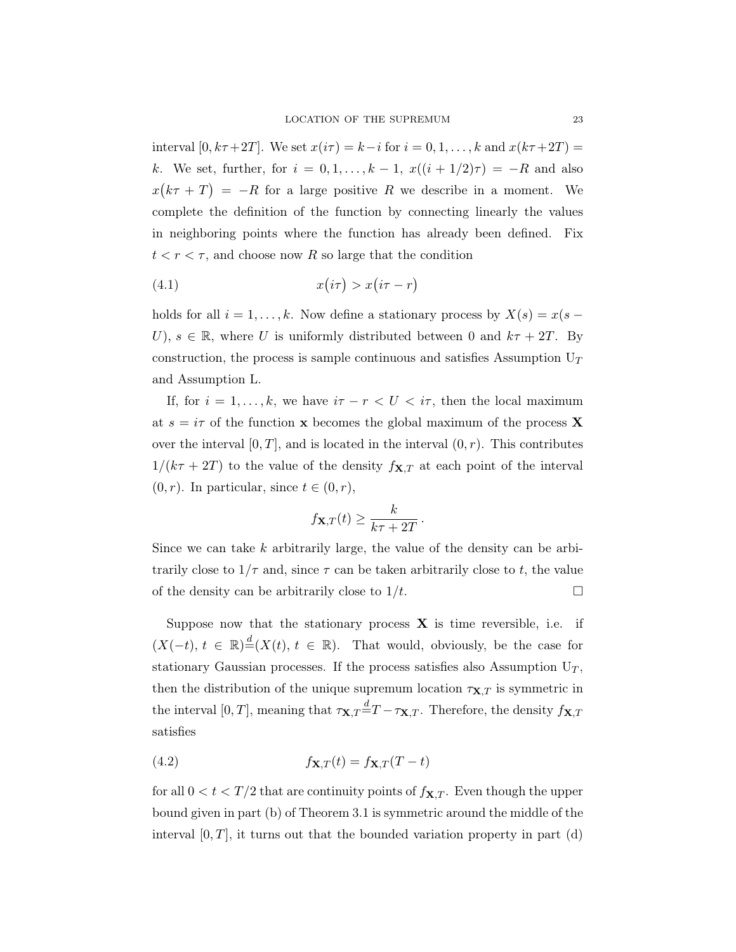interval  $[0, k\tau+2T]$ . We set  $x(i\tau) = k-i$  for  $i = 0, 1, \ldots, k$  and  $x(k\tau+2T) =$ k. We set, further, for  $i = 0, 1, \ldots, k - 1$ ,  $x((i + 1/2)\tau) = -R$  and also  $x(k\tau + T) = -R$  for a large positive R we describe in a moment. We complete the definition of the function by connecting linearly the values in neighboring points where the function has already been defined. Fix  $t < r < \tau$ , and choose now R so large that the condition

$$
(4.1) \t\t x(i\tau) > x(i\tau - r)
$$

holds for all  $i = 1, ..., k$ . Now define a stationary process by  $X(s) = x(s -$ U),  $s \in \mathbb{R}$ , where U is uniformly distributed between 0 and  $k\tau + 2T$ . By construction, the process is sample continuous and satisfies Assumption  $U_T$ and Assumption L.

If, for  $i = 1, \ldots, k$ , we have  $i\tau - r < U < i\tau$ , then the local maximum at  $s = i\tau$  of the function **x** becomes the global maximum of the process **X** over the interval  $[0, T]$ , and is located in the interval  $(0, r)$ . This contributes  $1/(k\tau + 2T)$  to the value of the density  $f_{\mathbf{X},T}$  at each point of the interval  $(0, r)$ . In particular, since  $t \in (0, r)$ ,

$$
f_{\mathbf{X},T}(t) \geq \frac{k}{k\tau + 2T}.
$$

Since we can take  $k$  arbitrarily large, the value of the density can be arbitrarily close to  $1/\tau$  and, since  $\tau$  can be taken arbitrarily close to t, the value of the density can be arbitrarily close to  $1/t$ .

Suppose now that the stationary process  $X$  is time reversible, i.e. if  $(X(-t), t \in \mathbb{R}) \stackrel{d}{=} (X(t), t \in \mathbb{R})$ . That would, obviously, be the case for stationary Gaussian processes. If the process satisfies also Assumption  $U_T$ , then the distribution of the unique supremum location  $\tau_{\mathbf{X},T}$  is symmetric in the interval [0, T], meaning that  $\tau_{\mathbf{X},T} \stackrel{d}{=} T - \tau_{\mathbf{X},T}$ . Therefore, the density  $f_{\mathbf{X},T}$ satisfies

(4.2) 
$$
f_{\mathbf{X},T}(t) = f_{\mathbf{X},T}(T-t)
$$

for all  $0 < t < T/2$  that are continuity points of  $f_{\mathbf{X},T}$ . Even though the upper bound given in part (b) of Theorem 3.1 is symmetric around the middle of the interval  $[0, T]$ , it turns out that the bounded variation property in part  $(d)$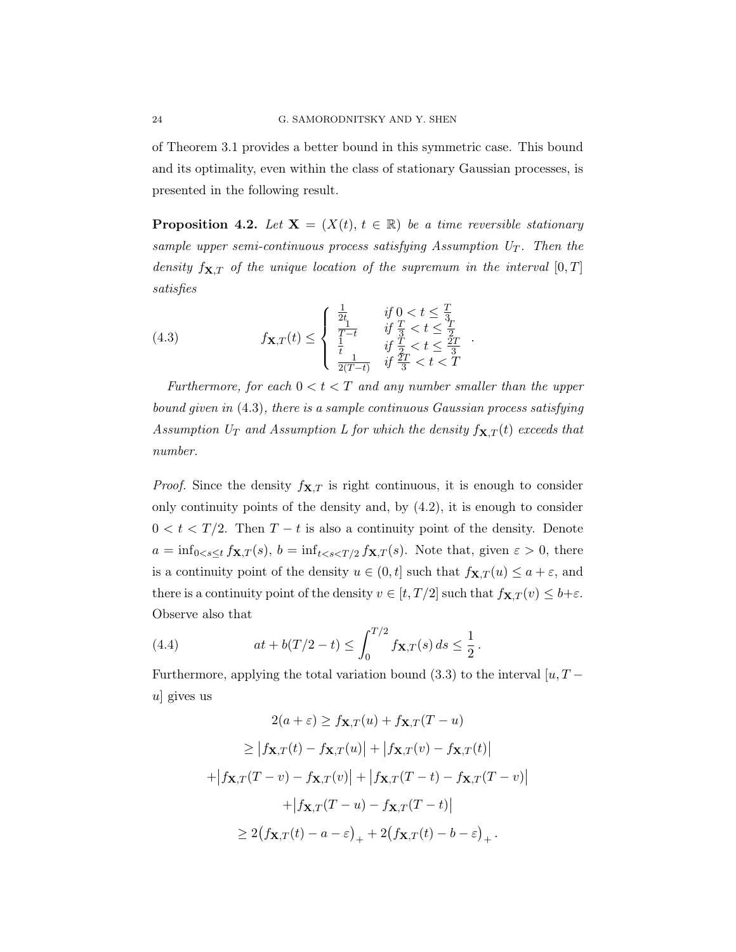of Theorem 3.1 provides a better bound in this symmetric case. This bound and its optimality, even within the class of stationary Gaussian processes, is presented in the following result.

**Proposition 4.2.** Let  $X = (X(t), t \in \mathbb{R})$  be a time reversible stationary sample upper semi-continuous process satisfying Assumption  $U_T$ . Then the density  $f_{\mathbf{X},T}$  of the unique location of the supremum in the interval  $[0, T]$ satisfies

(4.3) 
$$
f\mathbf{x}, T(t) \leq \begin{cases} \frac{1}{2t} & \text{if } 0 < t \leq \frac{T}{3} \\ \frac{1}{T-t} & \text{if } \frac{T}{3} < t \leq \frac{2T}{2} \\ \frac{1}{t} & \text{if } \frac{T}{2} < t \leq \frac{2T}{3} \\ \frac{1}{2(T-t)} & \text{if } \frac{2T}{3} < t < T \end{cases}
$$

Furthermore, for each  $0 < t < T$  and any number smaller than the upper bound given in  $(4.3)$ , there is a sample continuous Gaussian process satisfying Assumption  $U_T$  and Assumption L for which the density  $f_{\mathbf{X},T}(t)$  exceeds that number.

*Proof.* Since the density  $f_{\mathbf{X},T}$  is right continuous, it is enough to consider only continuity points of the density and, by  $(4.2)$ , it is enough to consider  $0 < t < T/2$ . Then  $T - t$  is also a continuity point of the density. Denote  $a = \inf_{0 \le s \le t} f_{\mathbf{X},T}(s), b = \inf_{t \le s \le T/2} f_{\mathbf{X},T}(s)$ . Note that, given  $\varepsilon > 0$ , there is a continuity point of the density  $u \in (0, t]$  such that  $f_{\mathbf{X},T}(u) \leq a + \varepsilon$ , and there is a continuity point of the density  $v \in [t, T/2]$  such that  $f_{\mathbf{X},T}(v) \leq b + \varepsilon$ . Observe also that

(4.4) 
$$
at + b(T/2 - t) \le \int_0^{T/2} f_{\mathbf{X},T}(s) ds \le \frac{1}{2}.
$$

Furthermore, applying the total variation bound (3.3) to the interval [ $u, T$ u gives us

$$
2(a+\varepsilon) \ge f_{\mathbf{X},T}(u) + f_{\mathbf{X},T}(T-u)
$$
  
\n
$$
\ge |f_{\mathbf{X},T}(t) - f_{\mathbf{X},T}(u)| + |f_{\mathbf{X},T}(v) - f_{\mathbf{X},T}(t)|
$$
  
\n
$$
+ |f_{\mathbf{X},T}(T-v) - f_{\mathbf{X},T}(v)| + |f_{\mathbf{X},T}(T-t) - f_{\mathbf{X},T}(T-v)|
$$
  
\n
$$
+ |f_{\mathbf{X},T}(T-u) - f_{\mathbf{X},T}(T-t)|
$$
  
\n
$$
\ge 2(f_{\mathbf{X},T}(t) - a - \varepsilon)_{+} + 2(f_{\mathbf{X},T}(t) - b - \varepsilon)_{+}.
$$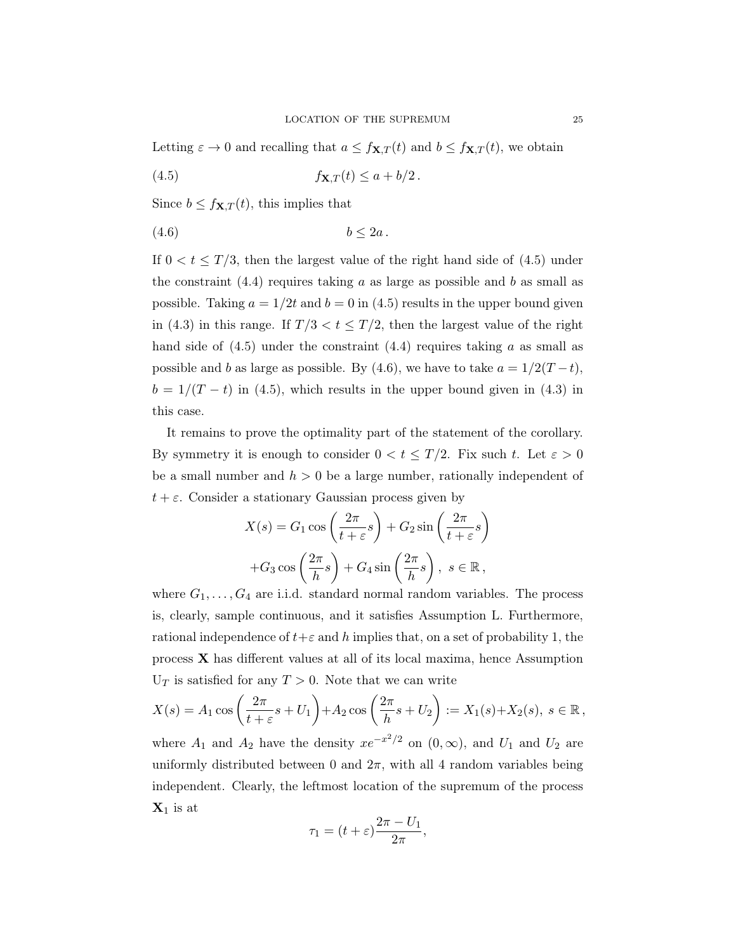Letting  $\varepsilon \to 0$  and recalling that  $a \leq f_{\mathbf{X},T}(t)$  and  $b \leq f_{\mathbf{X},T}(t)$ , we obtain

$$
(4.5) \t\t f\mathbf{X},T(t) \le a + b/2.
$$

Since  $b \leq f_{\mathbf{X},T}(t)$ , this implies that

$$
(4.6) \t\t b \le 2a.
$$

If  $0 < t \leq T/3$ , then the largest value of the right hand side of (4.5) under the constraint  $(4.4)$  requires taking a as large as possible and b as small as possible. Taking  $a = 1/2t$  and  $b = 0$  in (4.5) results in the upper bound given in (4.3) in this range. If  $T/3 < t \leq T/2$ , then the largest value of the right hand side of  $(4.5)$  under the constraint  $(4.4)$  requires taking a as small as possible and b as large as possible. By (4.6), we have to take  $a = 1/2(T - t)$ ,  $b = 1/(T - t)$  in (4.5), which results in the upper bound given in (4.3) in this case.

It remains to prove the optimality part of the statement of the corollary. By symmetry it is enough to consider  $0 < t \leq T/2$ . Fix such t. Let  $\varepsilon > 0$ be a small number and  $h > 0$  be a large number, rationally independent of  $t + \varepsilon$ . Consider a stationary Gaussian process given by

$$
X(s) = G_1 \cos\left(\frac{2\pi}{t+\varepsilon}s\right) + G_2 \sin\left(\frac{2\pi}{t+\varepsilon}s\right)
$$

$$
+ G_3 \cos\left(\frac{2\pi}{h}s\right) + G_4 \sin\left(\frac{2\pi}{h}s\right), \ s \in \mathbb{R},
$$

where  $G_1, \ldots, G_4$  are i.i.d. standard normal random variables. The process is, clearly, sample continuous, and it satisfies Assumption L. Furthermore, rational independence of  $t+\varepsilon$  and h implies that, on a set of probability 1, the process  $\bf{X}$  has different values at all of its local maxima, hence Assumption  $U_T$  is satisfied for any  $T > 0$ . Note that we can write

$$
X(s) = A_1 \cos\left(\frac{2\pi}{t+\varepsilon}s + U_1\right) + A_2 \cos\left(\frac{2\pi}{h}s + U_2\right) := X_1(s) + X_2(s), \ s \in \mathbb{R},
$$

where  $A_1$  and  $A_2$  have the density  $xe^{-x^2/2}$  on  $(0, \infty)$ , and  $U_1$  and  $U_2$  are uniformly distributed between 0 and  $2\pi$ , with all 4 random variables being independent. Clearly, the leftmost location of the supremum of the process  $\mathbf{X}_1$  is at

$$
\tau_1 = (t + \varepsilon) \frac{2\pi - U_1}{2\pi},
$$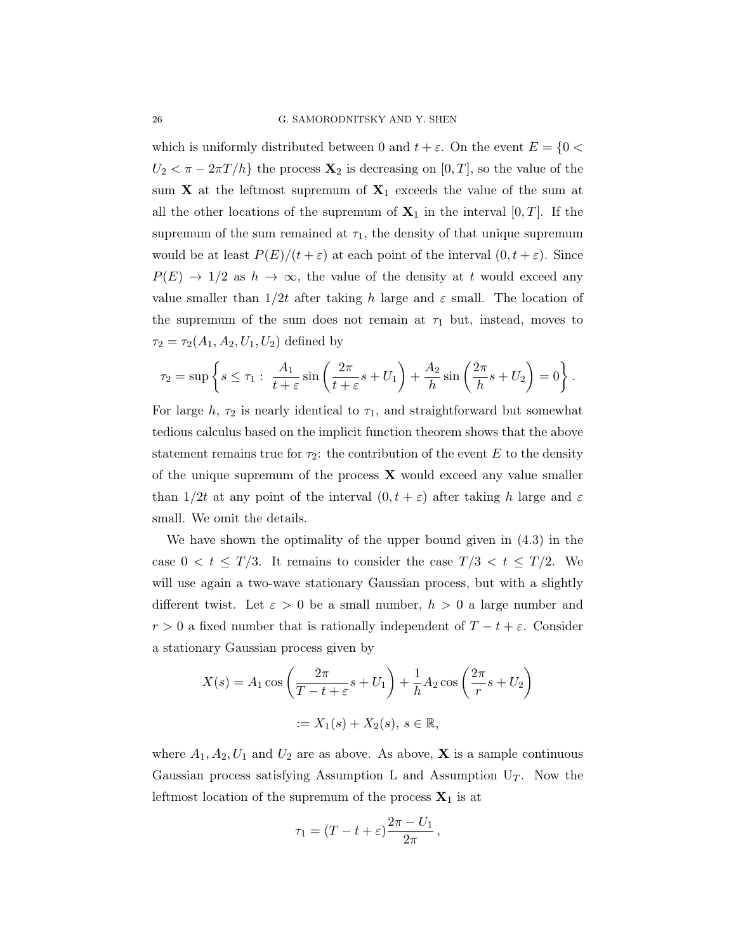which is uniformly distributed between 0 and  $t + \varepsilon$ . On the event  $E = \{0 \leq \varepsilon \leq 1\}$  $U_2 < \pi - 2\pi T/h$  the process  $\mathbf{X}_2$  is decreasing on [0, T], so the value of the sum  $X$  at the leftmost supremum of  $X_1$  exceeds the value of the sum at all the other locations of the supremum of  $X_1$  in the interval  $[0, T]$ . If the supremum of the sum remained at  $\tau_1$ , the density of that unique supremum would be at least  $P(E)/(t + \varepsilon)$  at each point of the interval  $(0, t + \varepsilon)$ . Since  $P(E) \rightarrow 1/2$  as  $h \rightarrow \infty$ , the value of the density at t would exceed any value smaller than  $1/2t$  after taking h large and  $\varepsilon$  small. The location of the supremum of the sum does not remain at  $\tau_1$  but, instead, moves to  $\tau_2 = \tau_2(A_1, A_2, U_1, U_2)$  defined by

$$
\tau_2 = \sup \left\{ s \le \tau_1 : \frac{A_1}{t + \varepsilon} \sin \left( \frac{2\pi}{t + \varepsilon} s + U_1 \right) + \frac{A_2}{h} \sin \left( \frac{2\pi}{h} s + U_2 \right) = 0 \right\}.
$$

For large h,  $\tau_2$  is nearly identical to  $\tau_1$ , and straightforward but somewhat tedious calculus based on the implicit function theorem shows that the above statement remains true for  $\tau_2$ : the contribution of the event E to the density of the unique supremum of the process  $\bf{X}$  would exceed any value smaller than  $1/2t$  at any point of the interval  $(0, t + \varepsilon)$  after taking h large and  $\varepsilon$ small. We omit the details.

We have shown the optimality of the upper bound given in (4.3) in the case  $0 < t \leq T/3$ . It remains to consider the case  $T/3 < t \leq T/2$ . We will use again a two-wave stationary Gaussian process, but with a slightly different twist. Let  $\varepsilon > 0$  be a small number,  $h > 0$  a large number and  $r > 0$  a fixed number that is rationally independent of  $T - t + \varepsilon$ . Consider a stationary Gaussian process given by

$$
X(s) = A_1 \cos\left(\frac{2\pi}{T - t + \varepsilon}s + U_1\right) + \frac{1}{h}A_2 \cos\left(\frac{2\pi}{r}s + U_2\right)
$$

$$
:= X_1(s) + X_2(s), s \in \mathbb{R},
$$

where  $A_1, A_2, U_1$  and  $U_2$  are as above. As above, **X** is a sample continuous Gaussian process satisfying Assumption L and Assumption  $U_T$ . Now the leftmost location of the supremum of the process  $\mathbf{X}_1$  is at

$$
\tau_1 = (T - t + \varepsilon) \frac{2\pi - U_1}{2\pi},
$$